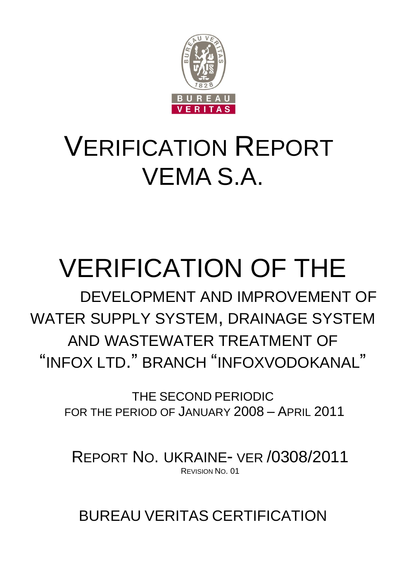

## VERIFICATION REPORT VEMA S.A.

# VERIFICATION OF THE

 DEVELOPMENT AND IMPROVEMENT OF WATER SUPPLY SYSTEM, DRAINAGE SYSTEM AND WASTEWATER TREATMENT OF "INFOX LTD." BRANCH "INFOXVODOKANAL"

> THE SECOND PERIODIC FOR THE PERIOD OF JANUARY 2008 – APRIL 2011

REPORT NO. UKRAINE- VER /0308/2011 REVISION NO. 01

BUREAU VERITAS CERTIFICATION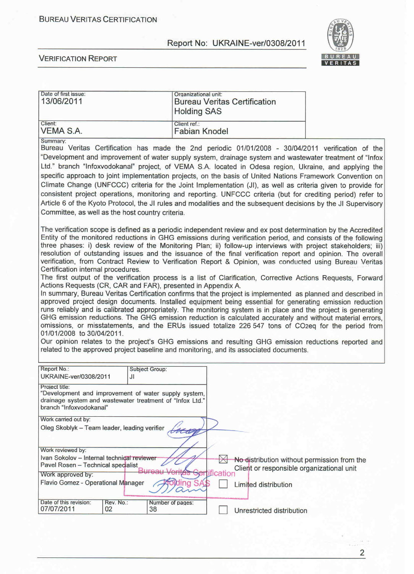

| Date of first issue:<br>13/06/2011                                                                                                                                                                                                                                                                                                                                                                                                                                                                                                                                                                                                                                                                                                                                                                                                                                                                                                                                                                                                                                                                                                                                                                                                                                                                                                                                                                                                                                                                                                                                                                   |                                                                                                |                                             |
|------------------------------------------------------------------------------------------------------------------------------------------------------------------------------------------------------------------------------------------------------------------------------------------------------------------------------------------------------------------------------------------------------------------------------------------------------------------------------------------------------------------------------------------------------------------------------------------------------------------------------------------------------------------------------------------------------------------------------------------------------------------------------------------------------------------------------------------------------------------------------------------------------------------------------------------------------------------------------------------------------------------------------------------------------------------------------------------------------------------------------------------------------------------------------------------------------------------------------------------------------------------------------------------------------------------------------------------------------------------------------------------------------------------------------------------------------------------------------------------------------------------------------------------------------------------------------------------------------|------------------------------------------------------------------------------------------------|---------------------------------------------|
| Client:<br>VEMA S.A.                                                                                                                                                                                                                                                                                                                                                                                                                                                                                                                                                                                                                                                                                                                                                                                                                                                                                                                                                                                                                                                                                                                                                                                                                                                                                                                                                                                                                                                                                                                                                                                 | Client ref.:<br><b>Fabian Knodel</b>                                                           |                                             |
| Summary:<br>Bureau Veritas Certification has made the 2nd periodic 01/01/2008 - 30/04/2011 verification of the<br>"Development and improvement of water supply system, drainage system and wastewater treatment of "Infox<br>Ltd." branch "Infoxvodokanal" project, of VEMA S.A. located in Odesa region, Ukraine, and applying the<br>specific approach to joint implementation projects, on the basis of United Nations Framework Convention on<br>Climate Change (UNFCCC) criteria for the Joint Implementation (JI), as well as criteria given to provide for<br>consistent project operations, monitoring and reporting. UNFCCC criteria (but for crediting period) refer to<br>Article 6 of the Kyoto Protocol, the JI rules and modalities and the subsequent decisions by the JI Supervisory<br>Committee, as well as the host country criteria.                                                                                                                                                                                                                                                                                                                                                                                                                                                                                                                                                                                                                                                                                                                                             |                                                                                                |                                             |
| The verification scope is defined as a periodic independent review and ex post determination by the Accredited<br>Entity of the monitored reductions in GHG emissions during verification period, and consists of the following<br>three phases: i) desk review of the Monitoring Plan; ii) follow-up interviews with project stakeholders; iii)<br>resolution of outstanding issues and the issuance of the final verification report and opinion. The overall<br>verification, from Contract Review to Verification Report & Opinion, was conducted using Bureau Veritas<br>Certification internal procedures.<br>The first output of the verification process is a list of Clarification, Corrective Actions Requests, Forward<br>Actions Requests (CR, CAR and FAR), presented in Appendix A.<br>In summary, Bureau Veritas Certification confirms that the project is implemented as planned and described in<br>approved project design documents. Installed equipment being essential for generating emission reduction<br>runs reliably and is calibrated appropriately. The monitoring system is in place and the project is generating<br>GHG emission reductions. The GHG emission reduction is calculated accurately and without material errors,<br>omissions, or misstatements, and the ERUs issued totalize 226 547 tons of CO2eq for the period from<br>01/01/2008 to 30/04/2011.<br>Our opinion relates to the project's GHG emissions and resulting GHG emission reductions reported and<br>related to the approved project baseline and monitoring, and its associated documents. |                                                                                                |                                             |
| Report No.:<br>Subject Group:<br>UKRAINE-ver/0308/2011<br>JI.                                                                                                                                                                                                                                                                                                                                                                                                                                                                                                                                                                                                                                                                                                                                                                                                                                                                                                                                                                                                                                                                                                                                                                                                                                                                                                                                                                                                                                                                                                                                        |                                                                                                |                                             |
| Project title:<br>"Development and improvement of water supply system,<br>drainage system and wastewater treatment of "Infox Ltd."<br>branch "Infoxvodokanal"                                                                                                                                                                                                                                                                                                                                                                                                                                                                                                                                                                                                                                                                                                                                                                                                                                                                                                                                                                                                                                                                                                                                                                                                                                                                                                                                                                                                                                        |                                                                                                |                                             |
| Work carried out by:<br>Oleg Skoblyk - Team leader, leading verifier                                                                                                                                                                                                                                                                                                                                                                                                                                                                                                                                                                                                                                                                                                                                                                                                                                                                                                                                                                                                                                                                                                                                                                                                                                                                                                                                                                                                                                                                                                                                 |                                                                                                |                                             |
| Work reviewed by:<br>Ivan Sokolov - Internal technical reviewer<br>Pavel Rosen - Technical specialist<br>Work approved by:<br>Flavio Gomez - Operational Manager                                                                                                                                                                                                                                                                                                                                                                                                                                                                                                                                                                                                                                                                                                                                                                                                                                                                                                                                                                                                                                                                                                                                                                                                                                                                                                                                                                                                                                     | $\times$<br>Client or responsible organizational unit<br>cation<br>ına<br>Limited distribution | No distribution without permission from the |
| Date of this revision:<br>Rev. No.:<br>Number of pages:<br>07/07/2011<br>02<br>38                                                                                                                                                                                                                                                                                                                                                                                                                                                                                                                                                                                                                                                                                                                                                                                                                                                                                                                                                                                                                                                                                                                                                                                                                                                                                                                                                                                                                                                                                                                    | Unrestricted distribution                                                                      |                                             |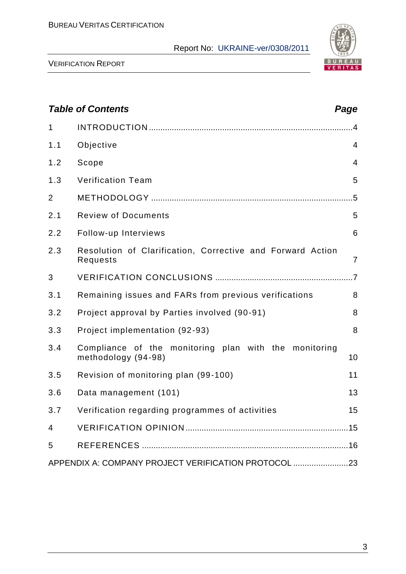

|                | <b>Table of Contents</b>                                                     | Page           |
|----------------|------------------------------------------------------------------------------|----------------|
| 1              |                                                                              |                |
| 1.1            | Objective                                                                    | $\overline{4}$ |
| 1.2            | Scope                                                                        | $\overline{4}$ |
| 1.3            | <b>Verification Team</b>                                                     | 5              |
| $\overline{2}$ |                                                                              | .5             |
| 2.1            | <b>Review of Documents</b>                                                   | 5              |
| 2.2            | Follow-up Interviews                                                         | 6              |
| 2.3            | Resolution of Clarification, Corrective and Forward Action<br>Requests       | $\overline{7}$ |
| 3              |                                                                              |                |
| 3.1            | Remaining issues and FARs from previous verifications                        | 8              |
| 3.2            | Project approval by Parties involved (90-91)                                 | 8              |
| 3.3            | Project implementation (92-93)                                               | 8              |
| 3.4            | Compliance of the monitoring plan with the monitoring<br>methodology (94-98) | 10             |
| 3.5            | Revision of monitoring plan (99-100)                                         | 11             |
| 3.6            | Data management (101)                                                        | 13             |
| 3.7            | Verification regarding programmes of activities                              | 15             |
| 4              |                                                                              |                |
| 5              |                                                                              |                |
|                | APPENDIX A: COMPANY PROJECT VERIFICATION PROTOCOL 23                         |                |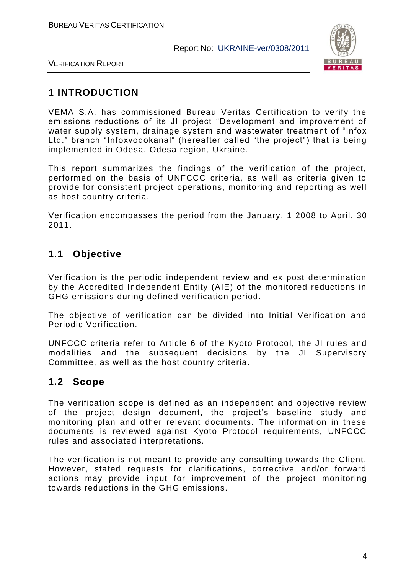

VERIFICATION REPORT

## **1 INTRODUCTION**

VEMA S.A. has commissioned Bureau Veritas Certification to verify the emissions reductions of its JI project "Development and improvement of water supply system, drainage system and wastewater treatment of "Infox Ltd." branch "Іnfoxvodokanal" (hereafter called "the project") that is being implemented in Odesa, Odesa region, Ukraine.

This report summarizes the findings of the verification of the project, performed on the basis of UNFCCC criteria, as well as criteria given to provide for consistent project operations, monitoring and reporting as well as host country criteria.

Verification encompasses the period from the January, 1 2008 to April, 30 2011.

## **1.1 Objective**

Verification is the periodic independent review and ex post determination by the Accredited Independent Entity (AIE) of the monitored reductions in GHG emissions during defined verification period.

The objective of verification can be divided into Initial Verification and Periodic Verification.

UNFCCC criteria refer to Article 6 of the Kyoto Protocol, the JI rules and modalities and the subsequent decisions by the JI Supervisory Committee, as well as the host country criteria.

## **1.2 Scope**

The verification scope is defined as an independent and objective review of the project design document, the project's baseline study and monitoring plan and other relevant documents. The information in these documents is reviewed against Kyoto Protocol requirements, UNFCCC rules and associated interpretations.

The verification is not meant to provide any consulting towards the Client. However, stated requests for clarifications, corrective and/or forward actions may provide input for improvement of the project monitoring towards reductions in the GHG emissions.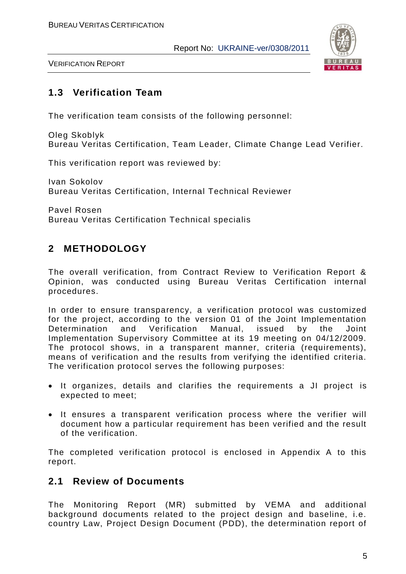

## **1.3 Verification Team**

The verification team consists of the following personnel:

Oleg Skoblyk Bureau Veritas Certification, Team Leader, Climate Change Lead Verifier.

This verification report was reviewed by:

Ivan Sokolov Bureau Veritas Certification, Internal Technical Reviewer

Pavel Rosen Bureau Veritas Certification Technical specialis

## **2 METHODOLOGY**

The overall verification, from Contract Review to Verification Report & Opinion, was conducted using Bureau Veritas Certification internal procedures.

In order to ensure transparency, a verification protocol was customized for the project, according to the version 01 of the Joint Implementation Determination and Verification Manual, issued by the Joint Implementation Supervisory Committee at its 19 meeting on 04/12/2009. The protocol shows, in a transparent manner, criteria (requirements), means of verification and the results from verifying the identified criteria. The verification protocol serves the following purposes:

- It organizes, details and clarifies the requirements a JI project is expected to meet;
- It ensures a transparent verification process where the verifier will document how a particular requirement has been verified and the result of the verification.

The completed verification protocol is enclosed in Appendix A to this report.

## **2.1 Review of Documents**

The Monitoring Report (MR) submitted by VEMA and additional background documents related to the project design and baseline, i.e. country Law, Project Design Document (PDD), the determination report of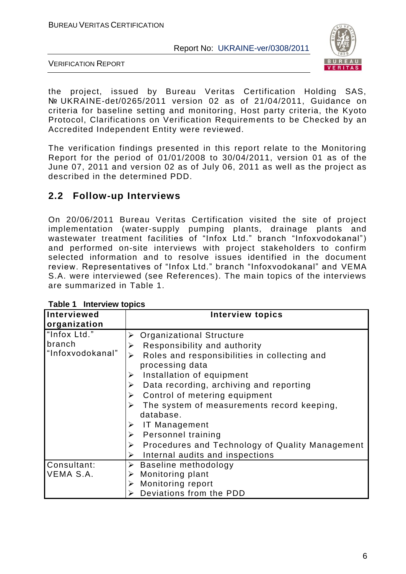

VERIFICATION REPORT

the project, issued by Bureau Veritas Certification Holding SAS, № UKRAINE-det/0265/2011 version 02 as of 21/04/2011, Guidance on criteria for baseline setting and monitoring, Host party criteria, the Kyoto Protocol, Clarifications on Verification Requirem ents to be Checked by an Accredited Independent Entity were reviewed.

The verification findings presented in this report relate to the Monitoring Report for the period of 01/01/2008 to 30/04/2011, version 01 as of the June 07, 2011 and version 02 as of July 06, 2011 as well as the project as described in the determined PDD.

## **2.2 Follow-up Interviews**

On 20/06/2011 Bureau Veritas Certification visited the site of project implementation (water-supply pumping plants, drainage plants and wastewater treatment facilities of "Infox Ltd." branch "Infoxvodokanal") and performed on-site interviews with project stakeholders to confirm selected information and to resolve issues identified in the document review. Representatives of "Infox Ltd." branch "Infoxvodokanal" and VEMA S.A. were interviewed (see References). The main topics of the interviews are summarized in Table 1.

| Interviewed      | <b>Interview topics</b>                                                  |
|------------------|--------------------------------------------------------------------------|
| organization     |                                                                          |
| "Infox Ltd."     | <b>Organizational Structure</b>                                          |
| branch           | Responsibility and authority<br>➤                                        |
| "Infoxvodokanal" | Roles and responsibilities in collecting and<br>➤                        |
|                  | processing data                                                          |
|                  | Installation of equipment<br>➤                                           |
|                  | Data recording, archiving and reporting<br>➤                             |
|                  | Control of metering equipment<br>➤                                       |
|                  | The system of measurements record keeping,<br>➤                          |
|                  | database.                                                                |
|                  | IT Management<br>➤                                                       |
|                  | Personnel training<br>$\blacktriangleright$                              |
|                  | Procedures and Technology of Quality Management<br>$\blacktriangleright$ |
|                  | Internal audits and inspections<br>➤                                     |
| Consultant:      | $\triangleright$ Baseline methodology                                    |
| VEMA S.A.        | $\triangleright$ Monitoring plant                                        |
|                  | $\triangleright$ Monitoring report                                       |
|                  | Deviations from the PDD                                                  |

**Table 1 Interview topics**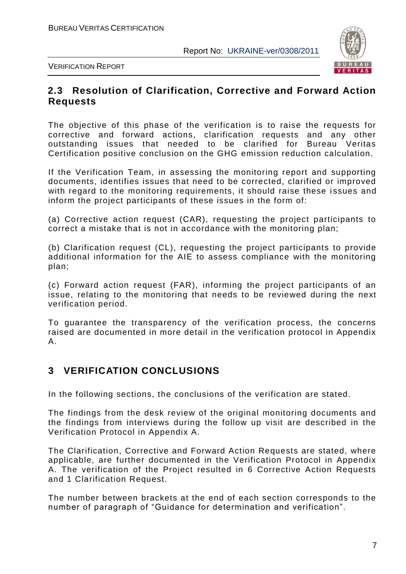

## **2.3 Resolution of Clarification, Corrective and Forward Action Requests**

The objective of this phase of the verification is to raise the requests for corrective and forward actions, clarification requests and any other outstanding issues that needed to be clarified for Bureau Veritas Certification positive conclusion on the GHG emission reduction calculation.

If the Verification Team, in assessing the monitoring report and supporting documents, identifies issues that need to be corrected, clarified or improved with regard to the monitoring requirements, it should raise these issues and inform the project participants of these issues in the form of:

(a) Corrective action request (CAR), requesting the project participants to correct a mistake that is not in accordance with the monitoring plan;

(b) Clarification request (CL), requesting the project participants to provide additional information for the AIE to assess compliance with the monitoring plan;

(c) Forward action request (FAR), informing the project participants of an issue, relating to the monitoring that needs to be reviewed during the next verification period.

To guarantee the transparency of the verification process, the concerns raised are documented in more detail in the verification protocol in Appendix A.

## **3 VERIFICATION CONCLUSIONS**

In the following sections, the conclusions of the verification are stated.

The findings from the desk review of the original monitoring documents and the findings from interviews during the follow up visit are described in the Verification Protocol in Appendix A.

The Clarification, Corrective and Forward Action Requests are stated, where applicable, are further documented in the Verification Protocol in Appendix A. The verification of the Project resulted in 6 Corrective Action Requests and 1 Clarification Request.

The number between brackets at the end of each section corresponds to the number of paragraph of "Guidance for determination and verification".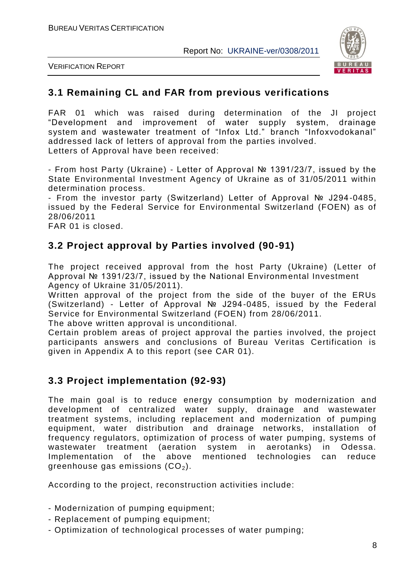

VERIFICATION REPORT

## **3.1 Remaining CL and FAR from previous verifications**

FAR 01 which was raised during determination of the JI project "Development and improvement of water supply system, drainage system and wastewater treatment of "Infox Ltd." branch "Іnfoxvodokanal" addressed lack of letters of approval from the parties involved. Letters of Approval have been received:

- From host Party (Ukraine) - Letter of Approval № 1391/23/7, issued by the State Environmental Investment Agency of Ukraine as of 31/05/2011 within determination process.

- From the investor party (Switzerland) Letter of Approval № J294-0485, issued by the Federal Service for Environmental Switzerland (FOEN) as of 28/06/2011

FAR 01 is closed.

## **3.2 Project approval by Parties involved (90-91)**

The project received approval from the host Party (Ukraine) (Letter of Approval № 1391/23/7, issued by the National Environm ental Investment Agency of Ukraine 31/05/2011).

Written approval of the project from the side of the buyer of the ERUs (Switzerland) - Letter of Approval № J294-0485, issued by the Federal Service for Environmental Switzerland (FOEN) from 28/06/2011.

The above written approval is unconditional.

Certain problem areas of project approval the parties involved, the project participants answers and conclusions of Bureau Veritas Certification is given in Appendix A to this report (see CAR 01).

## **3.3 Project implementation (92-93)**

The main goal is to reduce energy consumption by modernization and development of centralized water supply, drainage and wastewater treatment systems, including replacement and modernization of pumping equipment, water distribution and drainage networks, installation of frequency regulators, optimization of process of water pumping, systems of wastewater treatment (aeration system in aerotanks) in Odessa. Implementation of the above mentioned technologies can reduce greenhouse gas emissions  $(CO<sub>2</sub>)$ .

According to the project, reconstruction activities include:

- Modernization of pumping equipment;
- Replacement of pumping equipment;
- Optimization of technological processes of water pumping;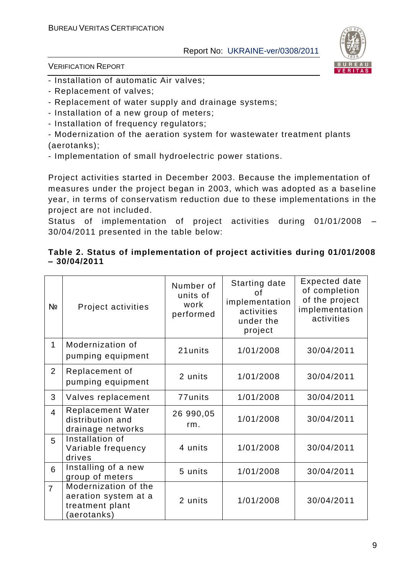

VERIFICATION REPORT

- Installation of automatic Air valves;
- Replacement of valves;
- Replacement of water supply and drainage systems;
- Installation of a new group of meters;
- Installation of frequency regulators;

- Modernization of the aeration system for wastewater treatment plants (aerotanks);

- Implementation of small hydroelectric power stations.

Project activities started in December 2003. Because the implementation of measures under the project began in 2003, which was adopted as a base line year, in terms of conservatism reduction due to these implementations in the project are not included.

Status of implementation of project activities during 01/01/2008 – 30/04/2011 presented in the table below:

#### **Table 2. Status of implementation of project activities during 01/01/2008 – 30/04/2011**

| Nº             | Project activities                                                            | Number of<br>units of<br>work<br>performed | <b>Starting date</b><br>οf<br>implementation<br>activities<br>under the<br>project | Expected date<br>of completion<br>of the project<br>implementation<br>activities |
|----------------|-------------------------------------------------------------------------------|--------------------------------------------|------------------------------------------------------------------------------------|----------------------------------------------------------------------------------|
| 1              | Modernization of<br>pumping equipment                                         | 21units                                    | 1/01/2008                                                                          | 30/04/2011                                                                       |
| $\overline{2}$ | Replacement of<br>pumping equipment                                           | 2 units                                    | 1/01/2008                                                                          | 30/04/2011                                                                       |
| 3              | Valves replacement                                                            | 77units                                    | 1/01/2008                                                                          | 30/04/2011                                                                       |
| $\overline{4}$ | <b>Replacement Water</b><br>distribution and<br>drainage networks             | 26 990,05<br>rm.                           | 1/01/2008                                                                          | 30/04/2011                                                                       |
| 5              | Installation of<br>Variable frequency<br>drives                               | 4 units                                    | 1/01/2008                                                                          | 30/04/2011                                                                       |
| 6              | Installing of a new<br>group of meters                                        | 5 units                                    | 1/01/2008                                                                          | 30/04/2011                                                                       |
| $\overline{7}$ | Modernization of the<br>aeration system at a<br>treatment plant<br>aerotanks) | 2 units                                    | 1/01/2008                                                                          | 30/04/2011                                                                       |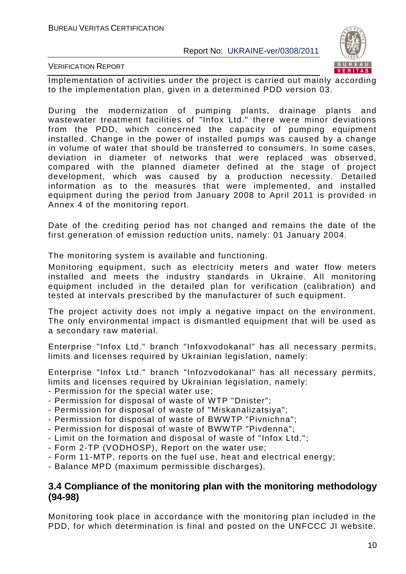

VERIFICATION REPORT

Implementation of activities under the project is carried out mainly according to the implementation plan, given in a determined PDD version 03.

During the modernization of pumping plants, drainage plants and wastewater treatment facilities of "Infox Ltd." there were minor deviations from the PDD, which concerned the capacity of pumping equipment installed. Change in the power of installed pumps was caused by a change in volume of water that should be transferred to consumers. In some cases, deviation in diameter of networks that were replaced was observed, compared with the planned diameter defined at the stage of project development, which was caused by a production necessity. Detailed information as to the measures that were implemented, and installed equipment during the period from January 2008 to April 2011 is provided in Annex 4 of the monitoring report.

Date of the crediting period has not changed and remains the date of the first generation of emission reduction units, namely: 01 January 2004.

The monitoring system is available and functioning.

Monitoring equipment, such as electricity meters and water flow meters installed and meets the industry standards in Ukraine. All monitoring equipment included in the detailed plan for verification (calibration) and tested at intervals prescribed by the manufacturer of such e quipment.

The project activity does not imply a negative impact on the environment. The only environmental impact is dismantled equipment that will be used as a secondary raw material.

Enterprise "Infox Ltd." branch "Infoxvodokanal" has all necessary permits, limits and licenses required by Ukrainian legislation, namely:

Enterprise "Infox Ltd." branch "Infozvodokanal" has all necessary permits, limits and licenses required by Ukrainian legislation, namely:

- Permission for the special water use;
- Permission for disposal of waste of WTP "Dnister";
- Permission for disposal of waste of "Miskanalizatsiya";
- Permission for disposal of waste of BWWTP "Pivnichna";
- Permission for disposal of waste of BWWTP "Pivdenna";
- Limit on the formation and disposal of waste of "Infox Ltd.";
- Form 2-TP (VODHOSP), Report on the water use;
- Form 11-MTP, reports on the fuel use, heat and electrical energy;
- Balance MPD (maximum permissible discharges).

#### **3.4 Compliance of the monitoring plan with the monitoring methodology (94-98)**

Monitoring took place in accordance with the monitoring plan included in the PDD, for which determination is final and posted on the UNFCCC JI website.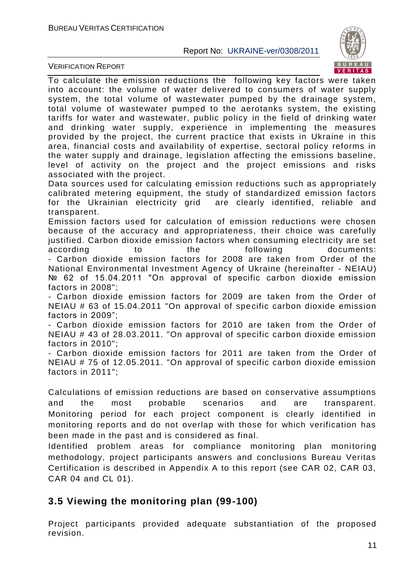VERIFICATION REPORT



To calculate the emission reductions the following key factors were taken into account: the volume of water delivered to consumers of water supply system, the total volume of wastewater pumped by the drainage system, total volume of wastewater pumped to the aerotanks system, the existing tariffs for water and wastewater, public policy in the field of drinking water and drinking water supply, experience in implementing the measures provided by the project, the current practice that exists in Ukraine in this area, financial costs and availability of expertise, sectoral policy reforms in the water supply and drainage, legislation affecting the emissions baseline, level of activity on the project and the project emissions and risks associated with the project.

Data sources used for calculating emission reductions such as appropriately calibrated metering equipment, the study of standardized emission factors for the Ukrainian electricity grid are clearly identified, reliable and transparent.

Emission factors used for calculation of emission reductions were chosen because of the accuracy and appropriateness, their choice was carefully justified. Carbon dioxide emission factors when consuming electricity are set according to the following documents: - Carbon dioxide emission factors for 2008 are taken from Order of the National Environmental Investment Agency of Ukraine (hereinafter - NEIAU) № 62 of 15.04.2011 "On approval of specific carbon dioxide emission factors in 2008";

- Carbon dioxide emission factors for 2009 are taken from the Order of NEIAU # 63 of 15.04.2011 "On approval of specific carbon dioxide emission factors in 2009";

- Carbon dioxide emission factors for 2010 are taken from the Order of NEIAU # 43 of 28.03.2011. "On approval of specific carbon dioxide emission factors in 2010";

- Carbon dioxide emission factors for 2011 are taken from the Order of NEIAU # 75 of 12.05.2011. "On approval of specific carbon dioxide emission factors in 2011";

Calculations of emission reductions are based on conservative assumptions and the most probable scenarios and are transparent. Monitoring period for each project component is clearly identified in monitoring reports and do not overlap with those for which verification has been made in the past and is considered as final.

Identified problem areas for compliance monitoring plan monitoring methodology, project participants answers and conclusions Bureau Veritas Certification is described in Appendix A to this report (see CAR 02, CAR 03, CAR 04 and CL 01).

## **3.5 Viewing the monitoring plan (99-100)**

Project participants provided adequate substantiation of the proposed revision.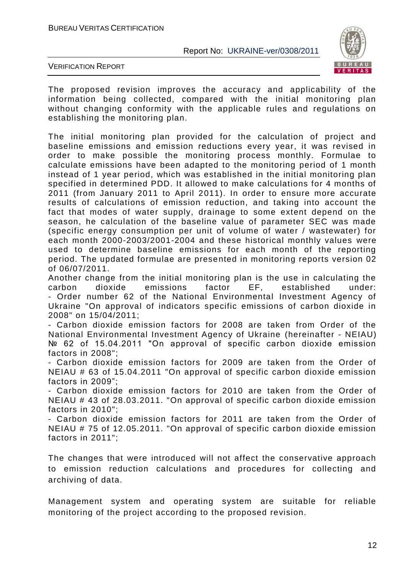

VERIFICATION REPORT

The proposed revision improves the accuracy and applicability of the information being collected, compared with the initial monitoring plan without changing conformity with the applicable rules and regulations on establishing the monitoring plan.

The initial monitoring plan provided for the calculation of project and baseline emissions and emission reductions every year, it was revised in order to make possible the monitoring process monthly. Formulae to calculate emissions have been adapted to the monitoring period of 1 month instead of 1 year period, which was established in the initial monitoring plan specified in determined PDD. It allowed to make calculations for 4 months of 2011 (from January 2011 to April 2011). In order to ensure more accurate results of calculations of emission reduction, and taking into account the fact that modes of water supply, drainage to some extent depend on the season, he calculation of the baseline value of parameter SEC was made (specific energy consumption per unit of volume of water / wastewater) for each month 2000-2003/2001-2004 and these historical monthly values were used to determine baseline emissions for each month of the reporting period. The updated formulae are presented in monitoring reports version 02 of 06/07/2011.

Another change from the initial monitoring plan is the use in calculating the carbon dioxide emissions factor EF, established under: - Order number 62 of the National Environmental Investment Agency of Ukraine "On approval of indicators specific emissions of carbon dioxide in 2008" on 15/04/2011;

- Carbon dioxide emission factors for 2008 are taken from Order of the National Environmental Investment Agency of Ukraine (hereinafter - NEIAU) № 62 of 15.04.2011 "On approval of specific carbon dioxide emission factors in 2008";

- Carbon dioxide emission factors for 2009 are taken from the Order of NEIAU # 63 of 15.04.2011 "On approval of specific carbon dioxide emission factors in 2009";

- Carbon dioxide emission factors for 2010 are taken from the Order of NEIAU # 43 of 28.03.2011. "On approval of specific carbon dioxide emission factors in 2010"

- Carbon dioxide emission factors for 2011 are taken from the Order of NEIAU # 75 of 12.05.2011. "On approval of specific carbon dioxide emission factors in 2011";

The changes that were introduced will not affect the conservative approach to emission reduction calculations and procedures for collecting and archiving of data.

Management system and operating system are suitable for reliable monitoring of the project according to the proposed revision.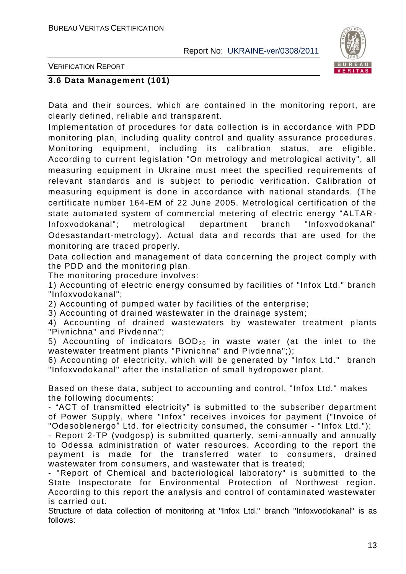

VERIFICATION REPORT

#### **3.6 Data Management (101)**

Data and their sources, which are contained in the monitoring report, are clearly defined, reliable and transparent.

Implementation of procedures for data collection is in accordance with PDD monitoring plan, including quality control and quality assurance procedures. Monitoring equipment, including its calibration status, are eligible. According to current legislation "On metrology and metrological activity", all measuring equipment in Ukraine must meet the specified requirements of relevant standards and is subject to periodic verification. Calibration of measuring equipment is done in accordance with national standards. (The certificate number 164-EM of 22 June 2005. Metrological certification of the state automated system of commercial metering of electric energy "ALTAR - Infoxvodokanal"; metrological department branch "Infoxvodokanal" Odesastandart-metrology). Actual data and records that are used for the monitoring are traced properly.

Data collection and management of data concerning the project comply with the PDD and the monitoring plan.

The monitoring procedure involves:

1) Accounting of electric energy consumed by facilities of "Infox Ltd." branch "Infoxvodokanal";

2) Accounting of pumped water by facilities of the enterprise;

3) Accounting of drained wastewater in the drainage system;

4) Accounting of drained wastewaters by wastewater treatment plants "Pivnichna" and Pivdenna";

5) Accounting of indicators  $BOD_{20}$  in waste water (at the inlet to the wastewater treatment plants "Pivnichna" and Pivdenna";);

6) Accounting of electricity, which will be generated by "Infox Ltd." branch "Infoxvodokanal" after the installation of small hydropower plant.

Based on these data, subject to accounting and control, "Infox Ltd." makes the following documents:

- "ACT of transmitted electricity" is submitted to the subscriber department of Power Supply, where "Infox" receives invoices for payment ("Invoice of "Odesoblenergo" Ltd. for electricity consumed, the consumer - "Infox Ltd.");

- Report 2-TP (vodgosp) is submitted quarterly, semi-annually and annually to Odessa administration of water resources. According to the report the payment is made for the transferred water to consumers, drained wastewater from consumers, and wastewater that is treated;

- "Report of Chemical and bacteriological laboratory" is submitted to the State Inspectorate for Environmental Protection of Northwest region. According to this report the analysis and control of contaminated wastewater is carried out.

Structure of data collection of monitoring at "Infox Ltd." branch "Infoxvodokanal" is as follows: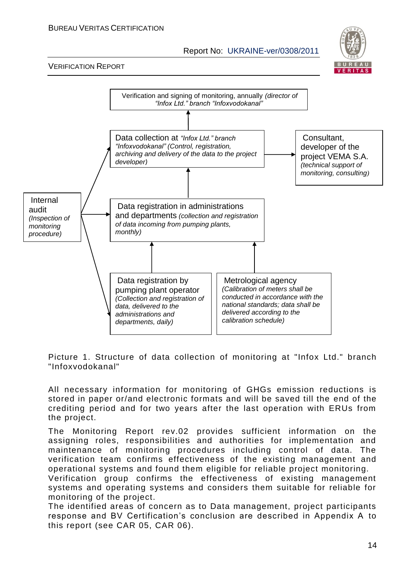#### BUREAU VERITAS CERTIFICATION

Report No: UKRAINE-ver/0308/2011



#### VERIFICATION REPORT



Picture 1. Structure of data collection of monitoring at "Infox Ltd." branch "Infoxvodokanal"

All necessary information for monitoring of GHGs emission reductions is stored in paper or/and electronic formats and will be saved till the end of the crediting period and for two years after the last operation with ERUs from the project.

The Monitoring Report rev.02 provides sufficient information on the assigning roles, responsibilities and authorities for implementation and maintenance of monitoring procedures including control of data. The verification team confirms effectiveness of the existing management and operational systems and found them eligible for reliable project monitoring.

Verification group confirms the effectiveness of existing management systems and operating systems and considers them suitable for reliable for monitoring of the project.

The identified areas of concern as to Data management, project participants response and BV Certification's conclusion are described in Appendix A to this report (see CAR 05, CAR 06).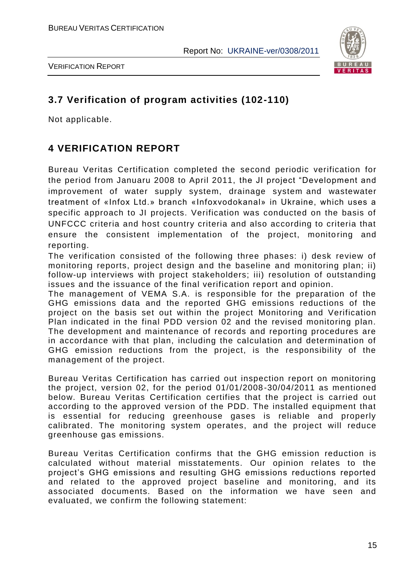

## **3.7 Verification of program activities (102-110)**

Not applicable.

## **4 VERIFICATION REPORT**

Bureau Veritas Certification completed the second periodic verification for the period from Januaru 2008 to April 2011, the JI project "Development and improvement of water supply system, drainage system and wastewater treatment of «Infox Ltd.» branch «Іnfoxvodokanal» in Ukraine, which uses a specific approach to JI projects. Verification was conducted on the basis of UNFCCC criteria and host country criteria and also according to criteria that ensure the consistent implementation of the project, monitoring and reporting.

The verification consisted of the following three phases: i) desk review of monitoring reports, project design and the baseline and monitoring plan; ii) follow-up interviews with project stakeholders; iii) resolution of outstanding issues and the issuance of the final verification report and opinion.

The management of VEMA S.A. is responsible for the preparation of the GHG emissions data and the reported GHG emissions reductions of the project on the basis set out within the project Monitoring and Verification Plan indicated in the final PDD version 02 and the revised monitoring plan. The development and maintenance of records and reporting procedures are in accordance with that plan, including the calculation and determination of GHG emission reductions from the project, is the responsibility of the management of the project.

Bureau Veritas Certification has carried out inspection report on monitoring the project, version 02, for the period 01/01/2008-30/04/2011 as mentioned below. Bureau Veritas Certification certifies that the project is carried out according to the approved version of the PDD. The installed equipment that is essential for reducing greenhouse gases is reliable and properly calibrated. The monitoring system operates, and the project will reduce greenhouse gas emissions.

Bureau Veritas Certification confirms that the GHG emission reduction is calculated without material misstatements. Our opinion relates to the project's GHG emissions and resulting GHG emissions reductions reported and related to the approved project baseline and monitoring, and its associated documents. Based on the information we have seen and evaluated, we confirm the following statement: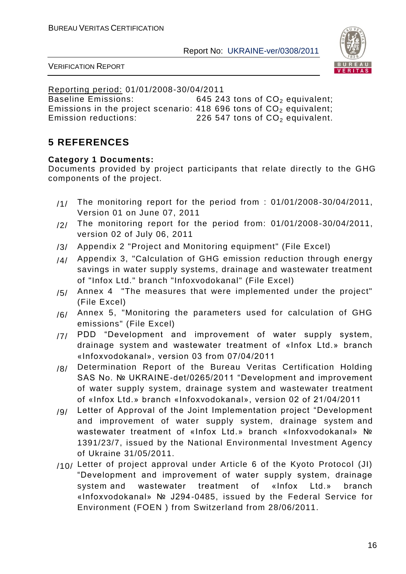



Reporting period: 01/01/2008-30/04/2011

Baseline Emissions:  $645, 243$  tons of  $CO<sub>2</sub>$  equivalent; Emissions in the project scenario: 418 696 tons of  $CO<sub>2</sub>$  equivalent;<br>Emission reductions: 226 547 tons of  $CO<sub>2</sub>$  equivalent. 226 547 tons of  $CO<sub>2</sub>$  equivalent.

## **5 REFERENCES**

#### **Category 1 Documents:**

Documents provided by project participants that relate directly to the GHG components of the project.

- $/1/$  The monitoring report for the period from : 01/01/2008-30/04/2011, Version 01 on June 07, 2011
- $/2/$  The monitoring report for the period from: 01/01/2008-30/04/2011, version 02 of July 06, 2011
- /3/ Appendix 2 "Project and Monitoring equipment" (File Excel)
- $14$  Appendix 3, "Calculation of GHG emission reduction through energy savings in water supply systems, drainage and wastewater treatment of "Infox Ltd." branch "Infoxvodokanal" (File Excel)
- $/5/$  Annex 4 "The measures that were implemented under the project" (File Excel)
- $/6/$  Annex 5, "Monitoring the parameters used for calculation of GHG emissions" (File Excel)
- /7/ PDD "Development and improvement of water supply system, drainage system and wastewater treatment of «Infox Ltd.» branch «Іnfoxvodokanal», version 03 from 07/04/2011
- /8/ Determination Report of the Bureau Veritas Certification Holding SAS No. № UKRAINE-det/0265/2011 "Development and improvement of water supply system, drainage system and wastewater treatment of «Infox Ltd.» branch «Іnfoxvodokanal», version 02 of 21/04/2011
- /9/ Letter of Approval of the Joint Implementation project "Development and improvement of water supply system, drainage system and wastewater treatment of «Infox Ltd.» branch «Іnfoxvodokanal» № 1391/23/7, issued by the National Environmental Investment Agency of Ukraine 31/05/2011.
- /10/ Letter of project approval under Article 6 of the Kyoto Protocol (JI) "Development and improvement of water supply system, drainage system and wastewater treatment of «Infox Ltd.» branch «Іnfoxvodokanal» № J294-0485, issued by the Federal Service for Environment (FOEN ) from Switzerland from 28/06/2011.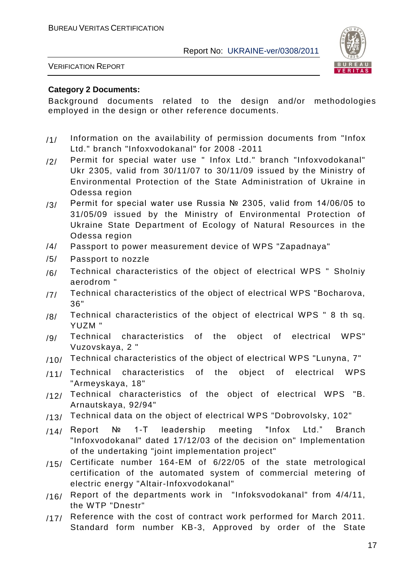

VERIFICATION REPORT

#### **Category 2 Documents:**

Background documents related to the design and/or methodologies employed in the design or other reference documents.

- /1/ Information on the availability of permission documents from "Infox Ltd." branch "Infoxvodokanal" for 2008 -2011
- /2/ Permit for special water use " Infox Ltd." branch "Infoxvodokanal" Ukr 2305, valid from 30/11/07 to 30/11/09 issued by the Ministry of Environmental Protection of the State Administration of Ukraine in Odessa region
- /3/ Permit for special water use Russia № 2305, valid from 14/06/05 to 31/05/09 issued by the Ministry of Environmental Protection of Ukraine State Department of Ecology of Natural Resources in the Odessa region
- /4/ Passport to power measurement device of WPS "Zapadnaya"
- /5/ Passport to nozzle
- $/6/$  Technical characteristics of the object of electrical WPS " Sholniy aerodrom "
- /7/ Technical characteristics of the object of electrical WPS "Bocharova, 36"
- $/8/$  Technical characteristics of the object of electrical WPS " 8 th sq. YUZM "
- /9/ Technical characteristics of the object of electrical WPS" Vuzovskaya, 2 "
- $/10/$  Technical characteristics of the object of electrical WPS "Lunyna, 7"
- /11/ Technical characteristics of the object of electrical WPS "Armeyskaya, 18"
- /12/ Technical characteristics of the object of electrical WPS "B. Arnautskaya, 92/94"
- /13/ Technical data on the object of electrical WPS "Dobrovolsky, 102"
- /14/ Report № 1-T leadership meeting "Infox Ltd." Branch "Infoxvodokanal" dated 17/12/03 of the decision on" Implementation of the undertaking "joint implementation project"
- /15/ Certificate number 164-EM of 6/22/05 of the state metrological certification of the automated system of commercial metering of electric energy "Altair-Infoxvodokanal"
- /16/ Report of the departments work in "Infoksvodokanal" from 4/4/11, the WTP "Dnestr"
- /17/ Reference with the cost of contract work performed for March 2011. Standard form number KB-3, Approved by order of the State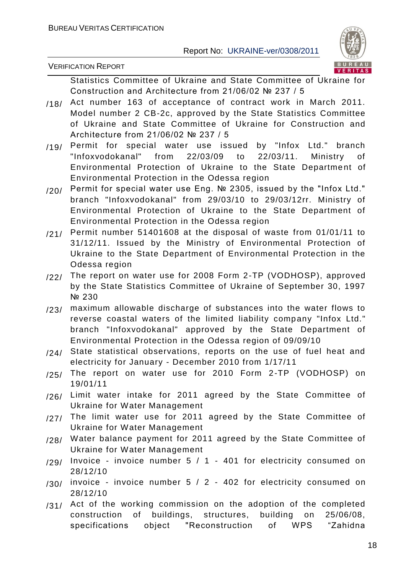

Statistics Committee of Ukraine and State Committee of Ukraine for Construction and Architecture from 21/06/02 № 237 / 5

- /18/ Act number 163 of acceptance of contract work in March 2011. Model number 2 CB-2c, approved by the State Statistics Committee of Ukraine and State Committee of Ukraine for Construction and Architecture from 21/06/02 № 237 / 5
- /19/ Permit for special water use issued by "Infox Ltd." branch<br>"Infoxvodokanal" from 22/03/09 to 22/03/11. Ministry of "Infoxvodokanal" from 22/03/09 to 22/03/11. Ministry of Environmental Protection of Ukraine to the State Department of Environmental Protection in the Odessa region
- /20/ Permit for special water use Eng. No 2305, issued by the "Infox Ltd." branch "Infoxvodokanal" from 29/03/10 to 29/03/12rr. Ministry of Environmental Protection of Ukraine to the State Department of Environmental Protection in the Odessa region
- /21/ Permit number 51401608 at the disposal of waste from 01/01/11 to 31/12/11. Issued by the Ministry of Environmental Protection of Ukraine to the State Department of Environmental Protection in the Odessa region
- /22/ The report on water use for 2008 Form 2-TP (VODHOSP), approved by the State Statistics Committee of Ukraine of September 30, 1997 № 230
- /23/ maximum allowable discharge of substances into the water flows to reverse coastal waters of the limited liability company "Infox Ltd." branch "Infoxvodokanal" approved by the State Department of Environmental Protection in the Odessa region of 09/09/10
- /24/ State statistical observations, reports on the use of fuel heat and electricity for January - December 2010 from 1/17/11
- /25/ The report on water use for 2010 Form 2-TP (VODHOSP) on 19/01/11
- /26/ Limit water intake for 2011 agreed by the State Committee of Ukraine for Water Management
- /27/ The limit water use for 2011 agreed by the State Committee of Ukraine for Water Management
- /28/ Water balance payment for 2011 agreed by the State Committee of Ukraine for Water Management
- /29/ Invoice invoice number 5 / 1 401 for electricity consumed on 28/12/10
- $/30/$  invoice invoice number 5 / 2 402 for electricity consumed on 28/12/10
- $/31/$  Act of the working commission on the adoption of the completed construction of buildings, structures, building on 25/06/08, specifications object "Reconstruction of WPS "Zahidna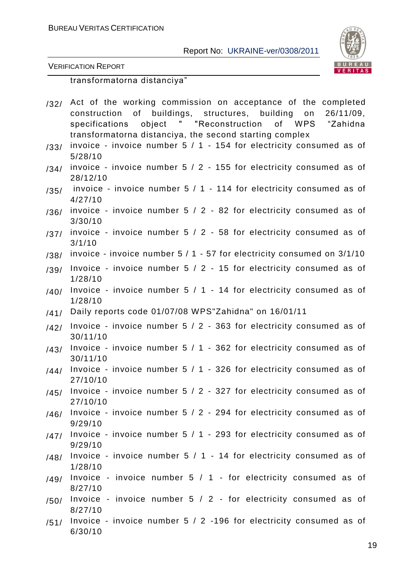

VERIFICATION REPORT

transformatorna distanciya"

- /32/ Act of the working commission on acceptance of the completed construction of buildings, structures, building on 26/11/09, specifications object " "Reconstruction of WPS "Zahidna transformatorna distanciya, the second starting complex
- $/33/$  invoice invoice number  $5/1$  154 for electricity consumed as of 5/28/10
- $/34/$  invoice invoice number 5 / 2 155 for electricity consumed as of 28/12/10
- /35/ invoice invoice number 5 / 1 114 for electricity consumed as of 4/27/10
- $/36/$  invoice invoice number 5 / 2 82 for electricity consumed as of 3/30/10
- /37/ invoice invoice number 5 / 2 58 for electricity consumed as of 3/1/10
- $/38/$  invoice invoice number 5 / 1 57 for electricity consumed on 3/1/10
- $/39/$  Invoice invoice number 5  $/$  2 15 for electricity consumed as of 1/28/10
- $/40/$  Invoice invoice number 5 / 1 14 for electricity consumed as of 1/28/10
- /41/ Daily reports code 01/07/08 WPS"Zahidna" on 16/01/11
- $(42)$  Invoice invoice number  $5/2$  363 for electricity consumed as of 30/11/10
- $/43/$  Invoice invoice number 5 / 1 362 for electricity consumed as of 30/11/10
- $/44/$  Invoice invoice number 5 / 1 326 for electricity consumed as of 27/10/10
- $/45/$  Invoice invoice number 5 / 2 327 for electricity consumed as of 27/10/10
- $/46/$  Invoice invoice number 5 / 2 294 for electricity consumed as of 9/29/10
- $/47/$  Invoice invoice number 5 / 1 293 for electricity consumed as of 9/29/10
- $/48/$  Invoice invoice number 5 / 1 14 for electricity consumed as of 1/28/10
- /49/ Invoice invoice number 5 / 1 for electricity consumed as of 8/27/10
- /50/ Invoice invoice number 5 / 2 for electricity consumed as of 8/27/10
- $/51/$  Invoice invoice number 5 / 2 -196 for electricity consumed as of 6/30/10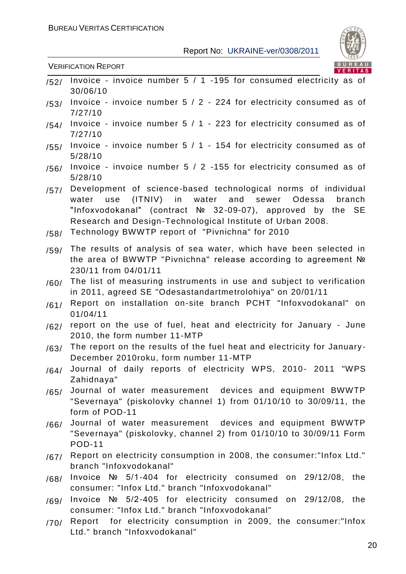

- $\sqrt{52}$  Invoice invoice number 5 / 1 -195 for consumed electricity as of 30/06/10 /53/ Invoice - invoice number 5 / 2 - 224 for electricity consumed as of 7/27/10  $/54/$  Invoice - invoice number 5 / 1 - 223 for electricity consumed as of 7/27/10 /55/ Invoice - invoice number 5 / 1 - 154 for electricity consumed as of
- 5/28/10
- /56/ Invoice invoice number 5 / 2 -155 for electricity consumed as of 5/28/10
- /57/ Development of science-based technological norms of individual water use (ITNIV) in water and sewer Odessa branch "Infoxvodokanal" (contract № 32-09-07), approved by the SE Research and Design-Technological Institute of Urban 2008.
- /58/ Technology BWWTP report of "Pivnichna" for 2010
- /59/ The results of analysis of sea water, which have been selected in the area of BWWTP "Pivnichna" release according to agreement № 230/11 from 04/01/11
- /60/ The list of measuring instruments in use and subject to verification in 2011, agreed SE "Odesastandartmetrolohiya" on 20/01/11
- /61/ Report on installation on-site branch PCHT "Infoxvodokanal" on 01/04/11
- /62/ report on the use of fuel, heat and electricity for January June 2010, the form number 11-MTP
- $/63/$  The report on the results of the fuel heat and electricity for January-December 2010roku, form number 11-MTP
- /64/ Journal of daily reports of electricity WPS, 2010- 2011 "WPS Zahidnaya"
- /65/ Journal of water measurement devices and equipment BWWTP "Severnaya" (piskolovky channel 1) from 01/10/10 to 30/09/11, the form of POD-11
- /66/ Journal of water measurement devices and equipment BWWTP "Severnaya" (piskolovky, channel 2) from 01/10/10 to 30/09/11 Form POD-11
- /67/ Report on electricity consumption in 2008, the consumer:"Infox Ltd." branch "Infoxvodokanal"
- /68/ Invoice № 5/1-404 for electricity consumed on 29/12/08, the consumer: "Infox Ltd." branch "Infoxvodokanal"
- /69/ Invoice № 5/2-405 for electricity consumed on 29/12/08, the consumer: "Infox Ltd." branch "Infoxvodokanal"
- /70/ Report for electricity consumption in 2009, the consumer:"Infox Ltd." branch "Infoxvodokanal"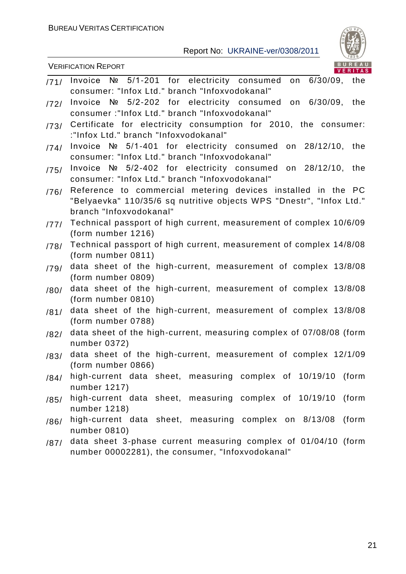

|      | BUREAU<br><b>VERIFICATION REPORT</b><br><b>VERITAS</b>                                                                                                          |
|------|-----------------------------------------------------------------------------------------------------------------------------------------------------------------|
| /71/ | Invoice № 5/1-201 for electricity consumed on 6/30/09, the<br>consumer: "Infox Ltd." branch "Infoxvodokanal"                                                    |
| 172/ | Invoice № 5/2-202 for electricity consumed<br>on<br>$6/30/09$ , the<br>consumer:"Infox Ltd." branch "Infoxvodokanal"                                            |
| /73/ | Certificate for electricity consumption for 2010, the consumer:<br>:"Infox Ltd." branch "Infoxvodokanal"                                                        |
| /74/ | Invoice $N2$ 5/1-401 for electricity consumed on 28/12/10, the<br>consumer: "Infox Ltd." branch "Infoxvodokanal"                                                |
| /75/ | Invoice $N_e$ 5/2-402 for electricity consumed on 28/12/10, the<br>consumer: "Infox Ltd." branch "Infoxvodokanal"                                               |
| /76/ | Reference to commercial metering devices installed in the PC<br>"Belyaevka" 110/35/6 sq nutritive objects WPS "Dnestr", "Infox Ltd."<br>branch "Infoxvodokanal" |
| 177/ | Technical passport of high current, measurement of complex 10/6/09<br>(form number 1216)                                                                        |
| /78/ | Technical passport of high current, measurement of complex 14/8/08<br>(form number 0811)                                                                        |
| /79/ | data sheet of the high-current, measurement of complex 13/8/08<br>(form number 0809)                                                                            |
| /80/ | data sheet of the high-current, measurement of complex 13/8/08<br>(form number 0810)                                                                            |
| /81/ | data sheet of the high-current, measurement of complex 13/8/08<br>(form number 0788)                                                                            |
| /82/ | data sheet of the high-current, measuring complex of 07/08/08 (form<br>number 0372)                                                                             |
| /83/ | data sheet of the high-current, measurement of complex 12/1/09<br>(form number 0866)                                                                            |
| /84/ | high-current data sheet, measuring complex of 10/19/10 (form<br>number 1217)                                                                                    |
| /85/ | high-current data sheet, measuring complex of 10/19/10 (form<br>number 1218)                                                                                    |
| /86/ | high-current data sheet, measuring complex on 8/13/08 (form<br>number 0810)                                                                                     |
| /87/ | data sheet 3-phase current measuring complex of 01/04/10 (form                                                                                                  |

number 00002281), the consumer, "Infoxvodokanal"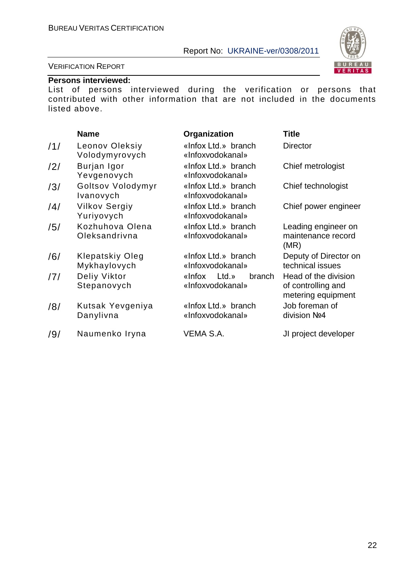

#### VERIFICATION REPORT

#### **Persons interviewed:**

List of persons interviewed during the verification or persons that contributed with other information that are not included in the documents listed above.

|     | <b>Name</b>                        | Organization                                 | <b>Title</b>                                                     |
|-----|------------------------------------|----------------------------------------------|------------------------------------------------------------------|
| /1/ | Leonov Oleksiy<br>Volodymyrovych   | «Infox Ltd.» branch<br>«Infoxvodokanal»      | <b>Director</b>                                                  |
| /2/ | Burjan Igor<br>Yevgenovych         | «Infox Ltd.» branch<br>«Infoxyodokanal»      | Chief metrologist                                                |
| /3/ | Goltsov Volodymyr<br>Ivanovych     | «Infox Ltd.» branch<br>«Infoxyodokanal»      | Chief technologist                                               |
| /4/ | <b>Vilkov Sergiy</b><br>Yuriyovych | «Infox Ltd.» branch<br>«Infoxyodokanal»      | Chief power engineer                                             |
| /5/ | Kozhuhova Olena<br>Oleksandrivna   | «Infox Ltd.» branch<br>«Infoxvodokanal»      | Leading engineer on<br>maintenance record<br>(MR)                |
| /6/ | Klepatskiy Oleg<br>Mykhaylovych    | «Infox Ltd.» branch<br>«Infoxvodokanal»      | Deputy of Director on<br>technical issues                        |
| /7/ | Deliy Viktor<br>Stepanovych        | «Infox<br>Ltd.<br>branch<br>«Infoxyodokanal» | Head of the division<br>of controlling and<br>metering equipment |
| /8/ | Kutsak Yevgeniya<br>Danylivna      | «Infox Ltd.» branch<br>«Infoxvodokanal»      | Job foreman of<br>division No <sub>4</sub>                       |
| /9/ | Naumenko Iryna                     | VEMA S.A.                                    | JI project developer                                             |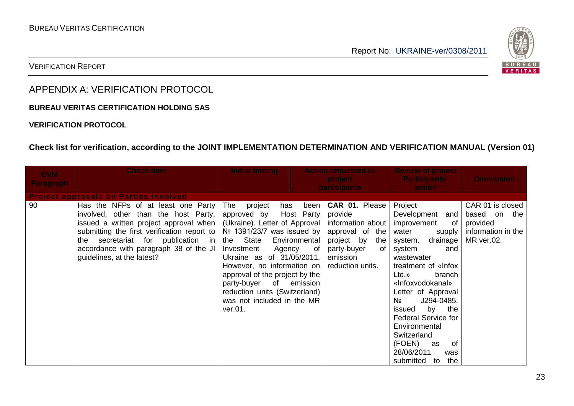

VERIFICATION REPORT

## APPENDIX A: VERIFICATION PROTOCOL

**BUREAU VERITAS CERTIFICATION HOLDING SAS**

#### **VERIFICATION PROTOCOL**

## **Check list for verification, according to the JOINT IMPLEMENTATION DETERMINATION AND VERIFICATION MANUAL (Version 01)**

| <b>DVM</b><br><b>Paragraph</b> | <b>Check Item</b>                                                                                                                                                                                                                                                                                                                                                            | <b>Initial finding</b>                                                                                                                                                                                                                                                                 |                                                              | <b>Action requested to</b><br><b>project</b>                                                                                                       | <b>Review of project</b><br><b>Participants'</b>                                                                                                                                                                                                                                                                                                                                            | <b>Conclusion</b>                                                                |
|--------------------------------|------------------------------------------------------------------------------------------------------------------------------------------------------------------------------------------------------------------------------------------------------------------------------------------------------------------------------------------------------------------------------|----------------------------------------------------------------------------------------------------------------------------------------------------------------------------------------------------------------------------------------------------------------------------------------|--------------------------------------------------------------|----------------------------------------------------------------------------------------------------------------------------------------------------|---------------------------------------------------------------------------------------------------------------------------------------------------------------------------------------------------------------------------------------------------------------------------------------------------------------------------------------------------------------------------------------------|----------------------------------------------------------------------------------|
|                                |                                                                                                                                                                                                                                                                                                                                                                              |                                                                                                                                                                                                                                                                                        |                                                              | <b>participants</b>                                                                                                                                | action                                                                                                                                                                                                                                                                                                                                                                                      |                                                                                  |
| 90                             | <b>Project approvals by Parties involved</b><br>Has the NFPs of at least one Party<br>involved, other than the host Party,<br>issued a written project approval when<br>submitting the first verification report to $\sqrt{N^2}$ 1391/23/7 was issued by<br>secretariat for<br>publication in<br>the<br>accordance with paragraph 38 of the JI<br>guidelines, at the latest? | The project<br>has<br>approved by<br>(Ukraine). Letter of Approval<br>the State<br>Investment<br>Ukraine as of 31/05/2011.<br>However, no information on<br>approval of the project by the<br>party-buyer of<br>reduction units (Switzerland)<br>was not included in the MR<br>ver.01. | been<br>Host Party<br>Environmental<br>Agency of<br>emission | <b>CAR 01. Please</b><br>provide<br>information about<br>approval of the<br>project by<br>the<br>party-buyer<br>of<br>emission<br>reduction units. | Project<br>Development<br>and  <br>improvement<br>of<br>water<br>supply<br>drainage<br>system,<br>system<br>and<br>wastewater<br>treatment of «Infox<br>Ltd.<br>branch<br>«Infoxvodokanal»<br>Letter of Approval<br>Nº<br>J294-0485,<br>by the<br>issued<br><b>Federal Service for</b><br>Environmental<br>Switzerland<br>(FOEN)<br>of<br>as<br>28/06/2011<br>was<br>submitted<br>the<br>to | CAR 01 is closed<br>based on the<br>provided<br>information in the<br>MR ver.02. |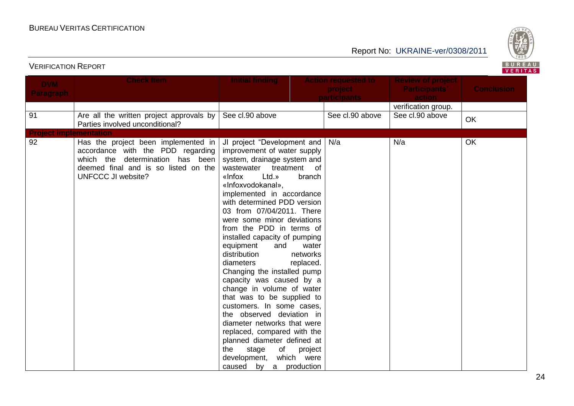

| <b>DVM</b>                    | <b>Check Item</b>                                                                                                                                                                    | <b>Initial finding</b>                                                                                                                                                                                                                                                                                                                                                                                                                                                                                                                                                                                                                                                                                                                                                                                              | <b>Action requested to</b>     | <b>Review of project</b>       |                   |
|-------------------------------|--------------------------------------------------------------------------------------------------------------------------------------------------------------------------------------|---------------------------------------------------------------------------------------------------------------------------------------------------------------------------------------------------------------------------------------------------------------------------------------------------------------------------------------------------------------------------------------------------------------------------------------------------------------------------------------------------------------------------------------------------------------------------------------------------------------------------------------------------------------------------------------------------------------------------------------------------------------------------------------------------------------------|--------------------------------|--------------------------------|-------------------|
| <b>Paragraph</b>              |                                                                                                                                                                                      |                                                                                                                                                                                                                                                                                                                                                                                                                                                                                                                                                                                                                                                                                                                                                                                                                     | project<br><b>participants</b> | <b>Participants'</b><br>action | <b>Conclusion</b> |
|                               |                                                                                                                                                                                      |                                                                                                                                                                                                                                                                                                                                                                                                                                                                                                                                                                                                                                                                                                                                                                                                                     |                                | verification group.            |                   |
| 91                            | Are all the written project approvals by<br>Parties involved unconditional?                                                                                                          | See cl.90 above                                                                                                                                                                                                                                                                                                                                                                                                                                                                                                                                                                                                                                                                                                                                                                                                     | See cl.90 above                | See cl.90 above                | <b>OK</b>         |
| <b>Project implementation</b> |                                                                                                                                                                                      |                                                                                                                                                                                                                                                                                                                                                                                                                                                                                                                                                                                                                                                                                                                                                                                                                     |                                |                                |                   |
| 92                            | Has the project been implemented in<br>accordance with the PDD regarding<br>which the<br>determination has been<br>deemed final and is so listed on the<br><b>UNFCCC JI website?</b> | JI project "Development and<br>improvement of water supply<br>system, drainage system and<br>wastewater treatment of<br>Ltd.»<br>«Infox<br>branch<br>«Infoxvodokanal».<br>implemented in accordance<br>with determined PDD version<br>03 from 07/04/2011. There<br>were some minor deviations<br>from the PDD in terms of<br>installed capacity of pumping<br>equipment<br>and<br>water<br>distribution<br>networks<br>diameters<br>replaced.<br>Changing the installed pump<br>capacity was caused by a<br>change in volume of water<br>that was to be supplied to<br>customers. In some cases,<br>the observed deviation in<br>diameter networks that were<br>replaced, compared with the<br>planned diameter defined at<br>the<br>stage<br>of<br>project<br>which were<br>development,<br>caused by a production | N/a                            | N/a                            | OK                |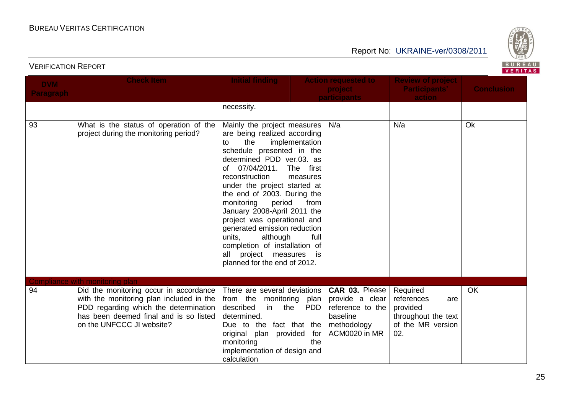

| <b>DVM</b><br><b>Paragraph</b> | <b>Check Item</b>                                                                                                                                                                                  | <b>Initial finding</b>                                                                                                                                                                                                                                                                                                                                                                                                                                                                                                   |                          | <b>Action requested to</b><br>project<br><b>participants</b>    | <b>Review of project</b><br><b>Participants'</b><br>action                                   | <b>Conclusion</b> |
|--------------------------------|----------------------------------------------------------------------------------------------------------------------------------------------------------------------------------------------------|--------------------------------------------------------------------------------------------------------------------------------------------------------------------------------------------------------------------------------------------------------------------------------------------------------------------------------------------------------------------------------------------------------------------------------------------------------------------------------------------------------------------------|--------------------------|-----------------------------------------------------------------|----------------------------------------------------------------------------------------------|-------------------|
|                                |                                                                                                                                                                                                    | necessity.                                                                                                                                                                                                                                                                                                                                                                                                                                                                                                               |                          |                                                                 |                                                                                              |                   |
| 93                             | What is the status of operation of the<br>project during the monitoring period?                                                                                                                    | Mainly the project measures<br>are being realized according<br>implementation<br>the<br>to<br>schedule presented in the<br>determined PDD ver.03. as<br>of 07/04/2011.<br>The first<br>reconstruction<br>measures<br>under the project started at<br>the end of 2003. During the<br>monitoring<br>period<br>January 2008-April 2011 the<br>project was operational and<br>generated emission reduction<br>units.<br>although<br>completion of installation of<br>all project measures is<br>planned for the end of 2012. | from<br>full             | N/a                                                             | N/a                                                                                          | Ok                |
|                                | <b>Compliance with monitoring plan</b>                                                                                                                                                             |                                                                                                                                                                                                                                                                                                                                                                                                                                                                                                                          |                          |                                                                 |                                                                                              |                   |
| 94                             | Did the monitoring occur in accordance<br>with the monitoring plan included in the<br>PDD regarding which the determination<br>has been deemed final and is so listed<br>on the UNFCCC JI website? | There are several deviations<br>from the monitoring plan provide a clear<br>described<br>the<br>in<br>determined.<br>Due to the fact that the methodology<br>original plan provided<br>monitoring<br>implementation of design and<br>calculation                                                                                                                                                                                                                                                                         | <b>PDD</b><br>for<br>the | CAR 03. Please<br>reference to the<br>baseline<br>ACM0020 in MR | Required<br>references<br>are<br>provided<br>throughout the text<br>of the MR version<br>02. | OK                |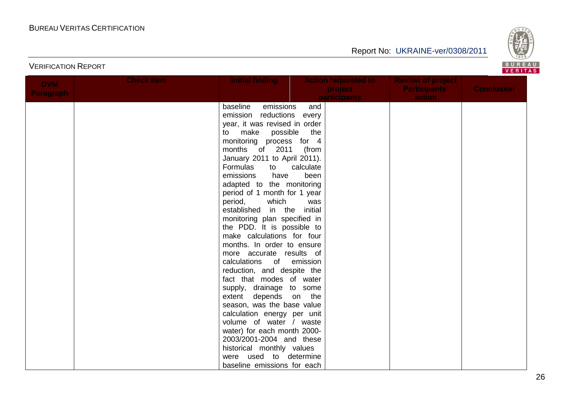

## Report No: UKRAINE-ver/0308/2011

| <b>DVM</b>       | <b>Check Item</b> | <b>Initial finding</b>        | <b>Action requested to</b> | <b>Review of project</b> |                   |
|------------------|-------------------|-------------------------------|----------------------------|--------------------------|-------------------|
| <b>Paragraph</b> |                   |                               | project                    | <b>Participants'</b>     | <b>Conclusion</b> |
|                  |                   |                               | <b>participants</b>        | action                   |                   |
|                  |                   | baseline<br>emissions         | and                        |                          |                   |
|                  |                   | emission reductions           | every                      |                          |                   |
|                  |                   | year, it was revised in order |                            |                          |                   |
|                  |                   | to make possible the          |                            |                          |                   |
|                  |                   | monitoring process for 4      |                            |                          |                   |
|                  |                   | months of 2011                | (from                      |                          |                   |
|                  |                   | January 2011 to April 2011).  |                            |                          |                   |
|                  |                   | Formulas<br>to                | calculate                  |                          |                   |
|                  |                   | emissions<br>have             | been                       |                          |                   |
|                  |                   | adapted to the monitoring     |                            |                          |                   |
|                  |                   | period of 1 month for 1 year  |                            |                          |                   |
|                  |                   | which<br>period,              | was                        |                          |                   |
|                  |                   | established in the initial    |                            |                          |                   |
|                  |                   | monitoring plan specified in  |                            |                          |                   |
|                  |                   | the PDD. It is possible to    |                            |                          |                   |
|                  |                   | make calculations for four    |                            |                          |                   |
|                  |                   | months. In order to ensure    |                            |                          |                   |
|                  |                   | more accurate results of      |                            |                          |                   |
|                  |                   | calculations of               | emission                   |                          |                   |
|                  |                   | reduction, and despite the    |                            |                          |                   |
|                  |                   | fact that modes of water      |                            |                          |                   |
|                  |                   | supply, drainage to some      |                            |                          |                   |
|                  |                   | depends on the<br>extent      |                            |                          |                   |
|                  |                   | season, was the base value    |                            |                          |                   |
|                  |                   | calculation energy per unit   |                            |                          |                   |
|                  |                   | volume of water / waste       |                            |                          |                   |
|                  |                   | water) for each month 2000-   |                            |                          |                   |
|                  |                   | 2003/2001-2004 and these      |                            |                          |                   |
|                  |                   | historical monthly values     |                            |                          |                   |
|                  |                   | were used to determine        |                            |                          |                   |
|                  |                   | baseline emissions for each   |                            |                          |                   |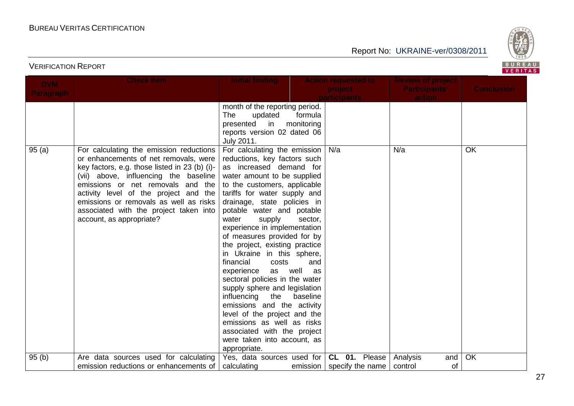

| <b>DVM</b>       | <b>Check Item</b>                                                                                                                                                                                                                                                                                                                                                        | <b>Initial finding</b>                                                                                                                                                                                                                                                                                                                                                                                                                                                                                                                                                                                                                                                                                                                                                    | <b>Action requested to</b>     | <b>Review of project</b>         |                   |
|------------------|--------------------------------------------------------------------------------------------------------------------------------------------------------------------------------------------------------------------------------------------------------------------------------------------------------------------------------------------------------------------------|---------------------------------------------------------------------------------------------------------------------------------------------------------------------------------------------------------------------------------------------------------------------------------------------------------------------------------------------------------------------------------------------------------------------------------------------------------------------------------------------------------------------------------------------------------------------------------------------------------------------------------------------------------------------------------------------------------------------------------------------------------------------------|--------------------------------|----------------------------------|-------------------|
| <b>Paragraph</b> |                                                                                                                                                                                                                                                                                                                                                                          |                                                                                                                                                                                                                                                                                                                                                                                                                                                                                                                                                                                                                                                                                                                                                                           | project<br><b>participants</b> | <b>Participants'</b><br>action   | <b>Conclusion</b> |
|                  |                                                                                                                                                                                                                                                                                                                                                                          | month of the reporting period.<br><b>The</b><br>updated<br>formula<br>presented<br>in<br>monitoring<br>reports version 02 dated 06<br>July 2011.                                                                                                                                                                                                                                                                                                                                                                                                                                                                                                                                                                                                                          |                                |                                  |                   |
| 95(a)            | For calculating the emission reductions<br>or enhancements of net removals, were<br>key factors, e.g. those listed in 23 (b) (i)-<br>(vii) above, influencing the baseline<br>emissions or net removals and the<br>activity level of the project and the<br>emissions or removals as well as risks<br>associated with the project taken into<br>account, as appropriate? | For calculating the emission $\vert$ N/a<br>reductions, key factors such<br>as increased demand for<br>water amount to be supplied<br>to the customers, applicable<br>tariffs for water supply and<br>drainage, state policies in<br>potable water and potable<br>water<br>supply<br>sector,<br>experience in implementation<br>of measures provided for by<br>the project, existing practice<br>in Ukraine in this sphere,<br>financial<br>costs<br>and<br>well<br>as<br>experience<br>as<br>sectoral policies in the water<br>supply sphere and legislation<br>influencing<br>the<br>baseline<br>emissions and the activity<br>level of the project and the<br>emissions as well as risks<br>associated with the project<br>were taken into account, as<br>appropriate. |                                | N/a                              | <b>OK</b>         |
| 95(b)            | Are data sources used for calculating<br>emission reductions or enhancements of                                                                                                                                                                                                                                                                                          | Yes, data sources used for   CL 01. Please  <br>calculating                                                                                                                                                                                                                                                                                                                                                                                                                                                                                                                                                                                                                                                                                                               | emission   specify the name    | Analysis<br>and<br>of<br>control | OK                |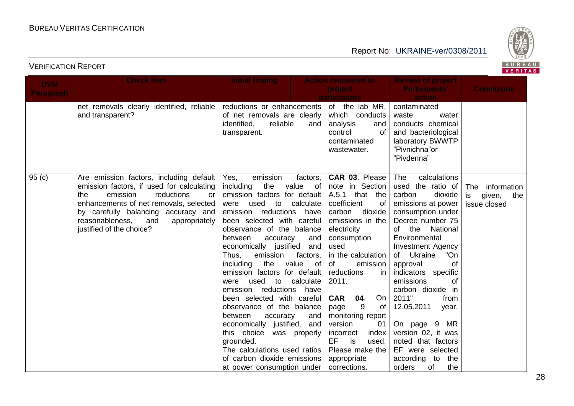

| <b>DVM</b>       | <b>Check Item</b>                                                                                                                                                                                                                                                                   | <b>Initial finding</b>                                                                                                                                                                                                                                                                                                                                                                                                                                                                                                                                                                                                                                                                                                       | <b>Action requested to</b><br>project                                                                                                                                                                                                                                                                                                                                                                         | <b>Review of project</b><br><b>Participants'</b>                                                                                                                                                                                                                                                                                                                                                                                                                                           | <b>Conclusion</b>                                      |
|------------------|-------------------------------------------------------------------------------------------------------------------------------------------------------------------------------------------------------------------------------------------------------------------------------------|------------------------------------------------------------------------------------------------------------------------------------------------------------------------------------------------------------------------------------------------------------------------------------------------------------------------------------------------------------------------------------------------------------------------------------------------------------------------------------------------------------------------------------------------------------------------------------------------------------------------------------------------------------------------------------------------------------------------------|---------------------------------------------------------------------------------------------------------------------------------------------------------------------------------------------------------------------------------------------------------------------------------------------------------------------------------------------------------------------------------------------------------------|--------------------------------------------------------------------------------------------------------------------------------------------------------------------------------------------------------------------------------------------------------------------------------------------------------------------------------------------------------------------------------------------------------------------------------------------------------------------------------------------|--------------------------------------------------------|
| <b>Paragraph</b> |                                                                                                                                                                                                                                                                                     |                                                                                                                                                                                                                                                                                                                                                                                                                                                                                                                                                                                                                                                                                                                              | participants                                                                                                                                                                                                                                                                                                                                                                                                  | action                                                                                                                                                                                                                                                                                                                                                                                                                                                                                     |                                                        |
|                  | net removals clearly identified, reliable<br>and transparent?                                                                                                                                                                                                                       | reductions or enhancements<br>of net removals are clearly<br>identified,<br>reliable<br>and<br>transparent.                                                                                                                                                                                                                                                                                                                                                                                                                                                                                                                                                                                                                  | of the lab MR,<br>which conducts<br>analysis<br>and<br>of<br>control<br>contaminated<br>wastewater.                                                                                                                                                                                                                                                                                                           | contaminated<br>waste<br>water<br>conducts chemical<br>and bacteriological<br>laboratory BWWTP<br>"Pivnichna"or<br>"Pivdenna"                                                                                                                                                                                                                                                                                                                                                              |                                                        |
| 95(c)            | Are emission factors, including default<br>emission factors, if used for calculating<br>reductions<br>emission<br>the<br>or<br>enhancements of net removals, selected<br>by carefully balancing accuracy and<br>reasonableness,<br>appropriately<br>and<br>justified of the choice? | emission<br>factors,<br>Yes,<br>including<br>the<br>value<br>0f<br>emission factors for default<br>used to<br>calculate<br>were<br>emission reductions<br>have<br>been selected with careful<br>observance of the balance<br>between<br>accuracy<br>and<br>economically justified<br>and<br>Thus,<br>emission<br>factors,<br>the<br>value<br>including<br>of<br>emission factors for default<br>used to<br>calculate<br>were<br>have<br>emission reductions<br>been selected with careful<br>observance of the balance<br>between<br>accuracy<br>and<br>economically justified, and<br>this choice<br>was properly<br>grounded.<br>The calculations used ratios<br>of carbon dioxide emissions<br>at power consumption under | CAR 03. Please<br>note in Section<br>A.5.1 that the<br>coefficient<br>of<br>carbon<br>dioxide<br>emissions in the<br>electricity<br>consumption<br>used<br>in the calculation<br>of<br>emission<br>reductions<br>in<br>2011.<br>On<br><b>CAR</b><br>04.<br>9<br>page<br>of<br>monitoring report<br>version<br>01<br>index<br>incorrect<br>EF<br>is<br>used.<br>Please make the<br>appropriate<br>corrections. | <b>The</b><br>calculations<br>used the ratio of<br>carbon<br>dioxide<br>emissions at power<br>consumption under<br>Decree number 75<br>the National<br>of l<br>Environmental<br><b>Investment Agency</b><br>Ukraine<br>of<br>"On<br>of<br>approval<br>indicators specific<br>emissions<br>οf<br>carbon dioxide in<br>2011"<br>from<br>12.05.2011<br>year.<br>On page 9<br>MR<br>version 02, it was<br>noted that factors<br>EF were selected<br>according to<br>the<br>of<br>the<br>orders | The information<br>given,<br>is<br>the<br>issue closed |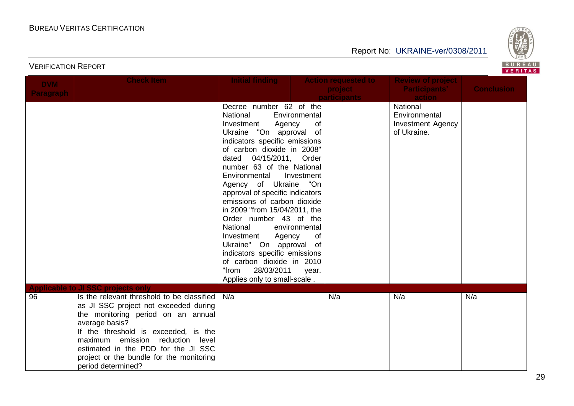

| <b>DVM</b>       | <b>Check Item</b>                                                                                   | <b>Initial finding</b>                               |               | <b>Action requested to</b> | <b>Review of project</b> |                   |
|------------------|-----------------------------------------------------------------------------------------------------|------------------------------------------------------|---------------|----------------------------|--------------------------|-------------------|
| <b>Paragraph</b> |                                                                                                     |                                                      |               | project                    | <b>Participants'</b>     | <b>Conclusion</b> |
|                  |                                                                                                     |                                                      |               | <b>participants</b>        | action                   |                   |
|                  |                                                                                                     | Decree number 62 of the                              |               |                            | National                 |                   |
|                  |                                                                                                     | National                                             | Environmental |                            | Environmental            |                   |
|                  |                                                                                                     | Investment<br>Agency                                 | of            |                            | <b>Investment Agency</b> |                   |
|                  |                                                                                                     | Ukraine "On approval of                              |               |                            | of Ukraine.              |                   |
|                  |                                                                                                     | indicators specific emissions                        |               |                            |                          |                   |
|                  |                                                                                                     | of carbon dioxide in 2008"                           |               |                            |                          |                   |
|                  |                                                                                                     | dated 04/15/2011, Order<br>number 63 of the National |               |                            |                          |                   |
|                  |                                                                                                     | Environmental                                        | Investment    |                            |                          |                   |
|                  |                                                                                                     | Agency of Ukraine "On                                |               |                            |                          |                   |
|                  |                                                                                                     | approval of specific indicators                      |               |                            |                          |                   |
|                  |                                                                                                     | emissions of carbon dioxide                          |               |                            |                          |                   |
|                  |                                                                                                     | in 2009 "from 15/04/2011, the                        |               |                            |                          |                   |
|                  |                                                                                                     | Order number 43 of the                               |               |                            |                          |                   |
|                  |                                                                                                     | National                                             | environmental |                            |                          |                   |
|                  |                                                                                                     | Investment<br>Agency                                 | of            |                            |                          |                   |
|                  |                                                                                                     | Ukraine" On approval of                              |               |                            |                          |                   |
|                  |                                                                                                     | indicators specific emissions                        |               |                            |                          |                   |
|                  |                                                                                                     | of carbon dioxide in 2010                            |               |                            |                          |                   |
|                  |                                                                                                     | 28/03/2011<br>"from                                  | year.         |                            |                          |                   |
|                  |                                                                                                     | Applies only to small-scale.                         |               |                            |                          |                   |
| 96               | <b>Applicable to JI SSC projects only</b><br>Is the relevant threshold to be classified $\vert$ N/a |                                                      |               | N/a                        | N/a                      | N/a               |
|                  | as JI SSC project not exceeded during                                                               |                                                      |               |                            |                          |                   |
|                  | the monitoring period on an annual                                                                  |                                                      |               |                            |                          |                   |
|                  | average basis?                                                                                      |                                                      |               |                            |                          |                   |
|                  | If the threshold is exceeded, is the                                                                |                                                      |               |                            |                          |                   |
|                  | reduction level<br>maximum emission                                                                 |                                                      |               |                            |                          |                   |
|                  | estimated in the PDD for the JI SSC                                                                 |                                                      |               |                            |                          |                   |
|                  | project or the bundle for the monitoring                                                            |                                                      |               |                            |                          |                   |
|                  | period determined?                                                                                  |                                                      |               |                            |                          |                   |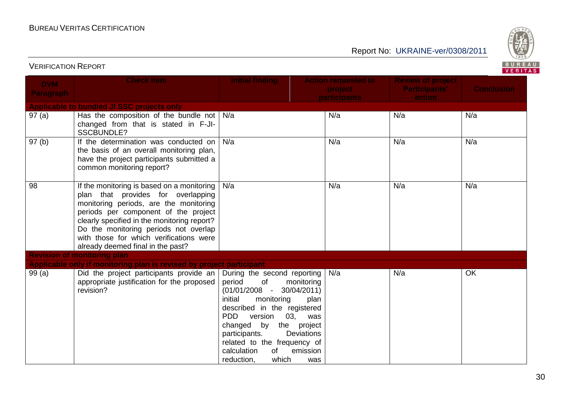Report No: UKRAINE-ver/0308/2011



| <b>DVM</b><br><b>Paragraph</b> | <b>Check Item</b>                                                                                                                                                                                                                                                                                                                            | <b>Initial finding</b>                                                                                                                                                                                                                                                                                                                         | <b>Action requested to</b><br>project<br><b>participants</b> | <b>Review of project</b><br><b>Participants'</b><br>action | <b>Conclusion</b> |
|--------------------------------|----------------------------------------------------------------------------------------------------------------------------------------------------------------------------------------------------------------------------------------------------------------------------------------------------------------------------------------------|------------------------------------------------------------------------------------------------------------------------------------------------------------------------------------------------------------------------------------------------------------------------------------------------------------------------------------------------|--------------------------------------------------------------|------------------------------------------------------------|-------------------|
|                                | Applicable to bundled JI SSC projects only                                                                                                                                                                                                                                                                                                   |                                                                                                                                                                                                                                                                                                                                                |                                                              |                                                            |                   |
| 97(a)                          | Has the composition of the bundle not $\vert$ N/a<br>changed from that is stated in F-JI-<br><b>SSCBUNDLE?</b>                                                                                                                                                                                                                               |                                                                                                                                                                                                                                                                                                                                                | N/a                                                          | N/a                                                        | N/a               |
| 97 <sub>(b)</sub>              | If the determination was conducted on<br>the basis of an overall monitoring plan,<br>have the project participants submitted a<br>common monitoring report?                                                                                                                                                                                  | N/a                                                                                                                                                                                                                                                                                                                                            | N/a                                                          | N/a                                                        | N/a               |
| 98                             | If the monitoring is based on a monitoring  <br>plan that provides for overlapping<br>monitoring periods, are the monitoring<br>periods per component of the project<br>clearly specified in the monitoring report?<br>Do the monitoring periods not overlap<br>with those for which verifications were<br>already deemed final in the past? | N/a                                                                                                                                                                                                                                                                                                                                            | N/a                                                          | N/a                                                        | N/a               |
|                                | <b>Revision of monitoring plan</b>                                                                                                                                                                                                                                                                                                           |                                                                                                                                                                                                                                                                                                                                                |                                                              |                                                            |                   |
|                                | Applicable only if monitoring plan is revised by project participant                                                                                                                                                                                                                                                                         |                                                                                                                                                                                                                                                                                                                                                |                                                              |                                                            |                   |
| 99(a)                          | Did the project participants provide an<br>appropriate justification for the proposed<br>revision?                                                                                                                                                                                                                                           | During the second reporting<br>of<br>period<br>monitoring<br>$(01/01/2008 - 30/04/2011)$<br>initial<br>monitoring<br>described in the registered<br><b>PDD</b><br>version<br>03, was<br>changed<br>by the project<br><b>Deviations</b><br>participants.<br>related to the frequency of<br>of<br>emission<br>calculation<br>which<br>reduction, | N/a<br>plan<br>was                                           | N/a                                                        | <b>OK</b>         |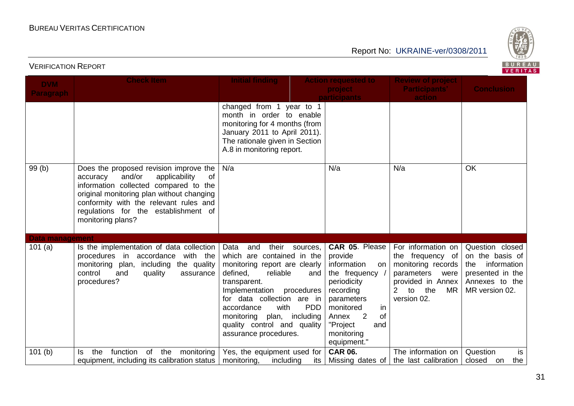

| BUREAU<br><b>VERIFICATION REPORT</b><br>VERITAS |                                                                                                                                                                                                                                                                                  |                                                                                                                                                                                                                                                                                                                   |                                                                                                                                                                                                                                      |                                                                                                                                                      |                                                                                                               |  |
|-------------------------------------------------|----------------------------------------------------------------------------------------------------------------------------------------------------------------------------------------------------------------------------------------------------------------------------------|-------------------------------------------------------------------------------------------------------------------------------------------------------------------------------------------------------------------------------------------------------------------------------------------------------------------|--------------------------------------------------------------------------------------------------------------------------------------------------------------------------------------------------------------------------------------|------------------------------------------------------------------------------------------------------------------------------------------------------|---------------------------------------------------------------------------------------------------------------|--|
| <b>DVM</b><br><b>Paragraph</b>                  | <b>Check Item</b>                                                                                                                                                                                                                                                                | <b>Initial finding</b>                                                                                                                                                                                                                                                                                            | <b>Action requested to</b><br>project<br><b>participants</b>                                                                                                                                                                         | <b>Review of project</b><br><b>Participants'</b><br>action                                                                                           | <b>Conclusion</b>                                                                                             |  |
|                                                 |                                                                                                                                                                                                                                                                                  | changed from 1 year to 1<br>month in order to enable<br>monitoring for 4 months (from<br>January 2011 to April 2011).<br>The rationale given in Section<br>A.8 in monitoring report.                                                                                                                              |                                                                                                                                                                                                                                      |                                                                                                                                                      |                                                                                                               |  |
| 99(b)                                           | Does the proposed revision improve the<br>and/or<br>applicability<br>0f<br>accuracy<br>information collected compared to the<br>original monitoring plan without changing<br>conformity with the relevant rules and<br>regulations for the establishment of<br>monitoring plans? | N/a                                                                                                                                                                                                                                                                                                               | N/a                                                                                                                                                                                                                                  | N/a                                                                                                                                                  | <b>OK</b>                                                                                                     |  |
| <b>Data management</b><br>101(a)                | Is the implementation of data collection<br>procedures in accordance with the<br>monitoring plan, including the quality<br>control<br>and<br>quality<br>assurance<br>procedures?                                                                                                 | Data<br>and<br>their<br>sources,<br>which are contained in the<br>monitoring report are clearly<br>defined,<br>reliable<br>transparent.<br>procedures<br>Implementation<br>for data collection are in<br>with<br>accordance<br>monitoring plan, including<br>quality control and quality<br>assurance procedures. | CAR 05. Please<br>provide<br>information<br>on<br>the frequency /<br>and<br>periodicity<br>recording<br>parameters<br><b>PDD</b><br>monitored<br>in<br>$\overline{2}$<br>of<br>Annex<br>"Project<br>and<br>monitoring<br>equipment." | For information on<br>the frequency of<br>monitoring records<br>parameters<br>were<br>provided in Annex<br>$2$ to<br>the<br><b>MR</b><br>version 02. | Question closed<br>on the basis of<br>the information<br>presented in the<br>Annexes to the<br>MR version 02. |  |
| 101(b)                                          | function of the monitoring<br>the<br>ls.<br>equipment, including its calibration status                                                                                                                                                                                          | Yes, the equipment used for<br>monitoring,<br>including                                                                                                                                                                                                                                                           | <b>CAR 06.</b><br>its<br>Missing dates of                                                                                                                                                                                            | The information on<br>the last calibration                                                                                                           | Question<br>is<br>the<br>closed<br>on                                                                         |  |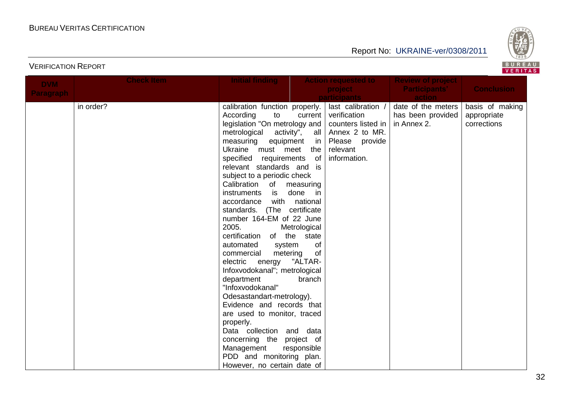

| <b>DVM</b>       | <b>Check Item</b> | <b>Initial finding</b>                                   |                  | <b>Action requested to</b> | <b>Review of project</b> |                   |
|------------------|-------------------|----------------------------------------------------------|------------------|----------------------------|--------------------------|-------------------|
| <b>Paragraph</b> |                   |                                                          |                  | project                    | <b>Participants'</b>     | <b>Conclusion</b> |
|                  |                   |                                                          |                  | <b>participants</b>        | <b>action</b>            |                   |
|                  | in order?         | calibration function properly.                           |                  | last calibration /         | date of the meters       | basis of making   |
|                  |                   | According<br>to                                          | current          | verification               | has been provided        | appropriate       |
|                  |                   | legislation "On metrology and $\vert$ counters listed in |                  |                            | in Annex 2.              | corrections       |
|                  |                   | metrological activity",                                  |                  | all $ $ Annex 2 to MR.     |                          |                   |
|                  |                   | measuring equipment                                      |                  | in Please provide          |                          |                   |
|                  |                   | Ukraine must meet the                                    |                  | relevant                   |                          |                   |
|                  |                   | specified requirements of                                |                  | information.               |                          |                   |
|                  |                   | relevant standards and is                                |                  |                            |                          |                   |
|                  |                   | subject to a periodic check                              |                  |                            |                          |                   |
|                  |                   | Calibration of measuring                                 |                  |                            |                          |                   |
|                  |                   | instruments<br>is                                        | done<br>in in    |                            |                          |                   |
|                  |                   | accordance                                               | with national    |                            |                          |                   |
|                  |                   | standards.                                               | (The certificate |                            |                          |                   |
|                  |                   | number 164-EM of 22 June                                 |                  |                            |                          |                   |
|                  |                   | 2005.                                                    | Metrological     |                            |                          |                   |
|                  |                   | certification of the state                               |                  |                            |                          |                   |
|                  |                   | automated<br>system                                      | of               |                            |                          |                   |
|                  |                   | commercial<br>metering<br>electric energy                | of<br>"ALTAR-    |                            |                          |                   |
|                  |                   | Infoxvodokanal"; metrological                            |                  |                            |                          |                   |
|                  |                   | department                                               | branch           |                            |                          |                   |
|                  |                   | "Infoxvodokanal"                                         |                  |                            |                          |                   |
|                  |                   | Odesastandart-metrology).                                |                  |                            |                          |                   |
|                  |                   | Evidence and records that                                |                  |                            |                          |                   |
|                  |                   | are used to monitor, traced                              |                  |                            |                          |                   |
|                  |                   | properly.                                                |                  |                            |                          |                   |
|                  |                   | Data collection and data                                 |                  |                            |                          |                   |
|                  |                   | concerning the project of                                |                  |                            |                          |                   |
|                  |                   | Management                                               | responsible      |                            |                          |                   |
|                  |                   | PDD and monitoring plan.                                 |                  |                            |                          |                   |
|                  |                   | However, no certain date of                              |                  |                            |                          |                   |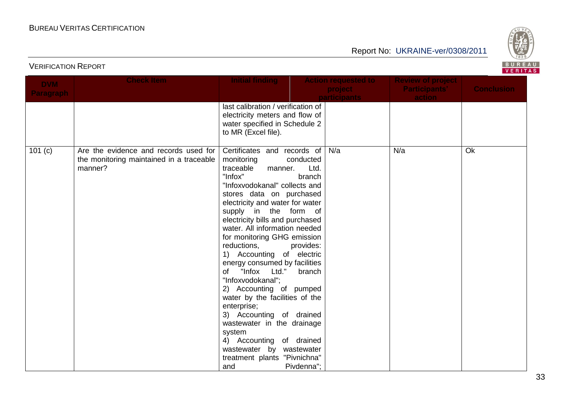

| <b>DVM</b>       | <b>Check Item</b>                                                                            | <b>Initial finding</b>                                                                                                                                                                                                                                                                                                                                                                                                                                                                                                                                                                                                                                                                                                                           | <b>Action requested to</b><br>project | <b>Review of project</b><br><b>Participants'</b> | <b>Conclusion</b> |
|------------------|----------------------------------------------------------------------------------------------|--------------------------------------------------------------------------------------------------------------------------------------------------------------------------------------------------------------------------------------------------------------------------------------------------------------------------------------------------------------------------------------------------------------------------------------------------------------------------------------------------------------------------------------------------------------------------------------------------------------------------------------------------------------------------------------------------------------------------------------------------|---------------------------------------|--------------------------------------------------|-------------------|
| <b>Paragraph</b> |                                                                                              |                                                                                                                                                                                                                                                                                                                                                                                                                                                                                                                                                                                                                                                                                                                                                  | <b>participants</b>                   | action                                           |                   |
|                  |                                                                                              | last calibration / verification of<br>electricity meters and flow of<br>water specified in Schedule 2<br>to MR (Excel file).                                                                                                                                                                                                                                                                                                                                                                                                                                                                                                                                                                                                                     |                                       |                                                  |                   |
| 101(c)           | Are the evidence and records used for<br>the monitoring maintained in a traceable<br>manner? | Certificates and records of<br>monitoring<br>conducted<br>traceable<br>Ltd.<br>manner.<br>"Infox"<br>branch<br>"Infoxvodokanal" collects and<br>stores data on purchased<br>electricity and water for water<br>supply in the form of<br>electricity bills and purchased<br>water. All information needed<br>for monitoring GHG emission<br>reductions,<br>provides:<br>1) Accounting of electric<br>energy consumed by facilities<br>of "Infox Ltd."<br>branch<br>"Infoxvodokanal";<br>2) Accounting of pumped<br>water by the facilities of the<br>enterprise;<br>3) Accounting of drained<br>wastewater in the drainage<br>system<br>4) Accounting of drained<br>wastewater by wastewater<br>treatment plants "Pivnichna"<br>Pivdenna";<br>and | N/a                                   | N/a                                              | Ok                |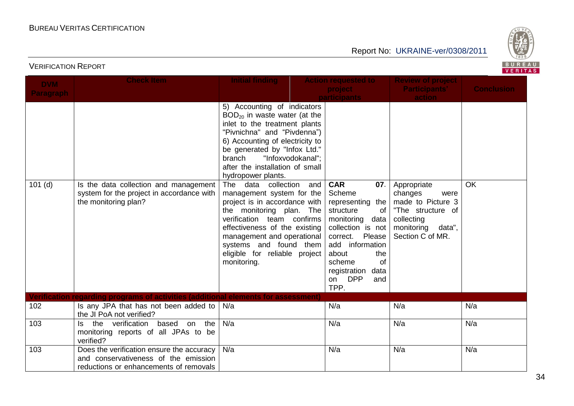

| <b>DVM</b><br><b>Paragraph</b> | <b>Check Item</b>                                                                                                           | <b>Initial finding</b>                                                                                                                                                                                                                                                                                                       | <b>Action requested to</b><br>project<br>participants                                                                                                                                                              | <b>Review of project</b><br><b>Participants'</b><br>action                                                          | <b>Conclusion</b> |
|--------------------------------|-----------------------------------------------------------------------------------------------------------------------------|------------------------------------------------------------------------------------------------------------------------------------------------------------------------------------------------------------------------------------------------------------------------------------------------------------------------------|--------------------------------------------------------------------------------------------------------------------------------------------------------------------------------------------------------------------|---------------------------------------------------------------------------------------------------------------------|-------------------|
| $101$ (d)                      | Is the data collection and management                                                                                       | 5) Accounting of indicators<br>$BOD20$ in waste water (at the<br>inlet to the treatment plants<br>"Pivnichna" and "Pivdenna")<br>6) Accounting of electricity to<br>be generated by "Infox Ltd."<br>"Infoxvodokanal";<br>branch<br>after the installation of small<br>hydropower plants.<br>collection<br>The<br>data<br>and | <b>CAR</b><br>07.                                                                                                                                                                                                  | Appropriate                                                                                                         | <b>OK</b>         |
|                                | system for the project in accordance with<br>the monitoring plan?                                                           | management system for the<br>project is in accordance with<br>the monitoring plan. The<br>verification team confirms<br>effectiveness of the existing<br>management and operational<br>systems and found them<br>eligible for reliable project<br>monitoring.                                                                | Scheme<br>representing the<br>structure<br>of<br>monitoring<br>data<br>collection is not<br>Please<br>correct.<br>add information<br>about<br>the<br>scheme<br>of<br>registration<br>data<br>on DPP<br>and<br>TPP. | changes<br>were<br>made to Picture 3<br>"The structure of<br>collecting<br>monitoring<br>data",<br>Section C of MR. |                   |
|                                | Verification regarding programs of activities (additional elements for assessment)                                          |                                                                                                                                                                                                                                                                                                                              |                                                                                                                                                                                                                    |                                                                                                                     |                   |
| 102                            | Is any JPA that has not been added to  <br>the JI PoA not verified?                                                         | N/a                                                                                                                                                                                                                                                                                                                          | N/a                                                                                                                                                                                                                | N/a                                                                                                                 | N/a               |
| 103                            | Is the verification based<br>on the<br>monitoring reports of all JPAs to be<br>verified?                                    | N/a                                                                                                                                                                                                                                                                                                                          | N/a                                                                                                                                                                                                                | N/a                                                                                                                 | N/a               |
| 103                            | Does the verification ensure the accuracy<br>and conservativeness of the emission<br>reductions or enhancements of removals | N/a                                                                                                                                                                                                                                                                                                                          | N/a                                                                                                                                                                                                                | N/a                                                                                                                 | N/a               |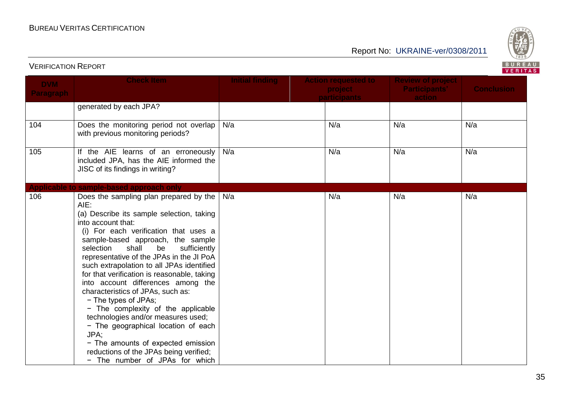

## Report No: UKRAINE-ver/0308/2011

| <b>DVM</b><br><b>Paragraph</b> | <b>Check Item</b>                                                                                                                                                                                                                                                                                                                                                                                                                                                                                                                                                                                                                                                                                                                   | <b>Initial finding</b> | <b>Action requested to</b><br>project<br>participants | <b>Review of project</b><br><b>Participants'</b><br>action | <b>Conclusion</b> |
|--------------------------------|-------------------------------------------------------------------------------------------------------------------------------------------------------------------------------------------------------------------------------------------------------------------------------------------------------------------------------------------------------------------------------------------------------------------------------------------------------------------------------------------------------------------------------------------------------------------------------------------------------------------------------------------------------------------------------------------------------------------------------------|------------------------|-------------------------------------------------------|------------------------------------------------------------|-------------------|
|                                | generated by each JPA?                                                                                                                                                                                                                                                                                                                                                                                                                                                                                                                                                                                                                                                                                                              |                        |                                                       |                                                            |                   |
| 104                            | Does the monitoring period not overlap<br>with previous monitoring periods?                                                                                                                                                                                                                                                                                                                                                                                                                                                                                                                                                                                                                                                         | N/a                    | N/a                                                   | N/a                                                        | N/a               |
| 105                            | If the AIE learns of an erroneously<br>included JPA, has the AIE informed the<br>JISC of its findings in writing?                                                                                                                                                                                                                                                                                                                                                                                                                                                                                                                                                                                                                   | N/a                    | N/a                                                   | N/a                                                        | N/a               |
|                                | Applicable to sample-based approach only                                                                                                                                                                                                                                                                                                                                                                                                                                                                                                                                                                                                                                                                                            |                        |                                                       |                                                            |                   |
| 106                            | Does the sampling plan prepared by the<br>AIE:<br>(a) Describe its sample selection, taking<br>into account that:<br>(i) For each verification that uses a<br>sample-based approach, the sample<br>selection<br>shall<br>be<br>sufficiently<br>representative of the JPAs in the JI PoA<br>such extrapolation to all JPAs identified<br>for that verification is reasonable, taking<br>into account differences among the<br>characteristics of JPAs, such as:<br>- The types of JPAs;<br>- The complexity of the applicable<br>technologies and/or measures used;<br>- The geographical location of each<br>JPA;<br>- The amounts of expected emission<br>reductions of the JPAs being verified;<br>- The number of JPAs for which | N/a                    | N/a                                                   | N/a                                                        | N/a               |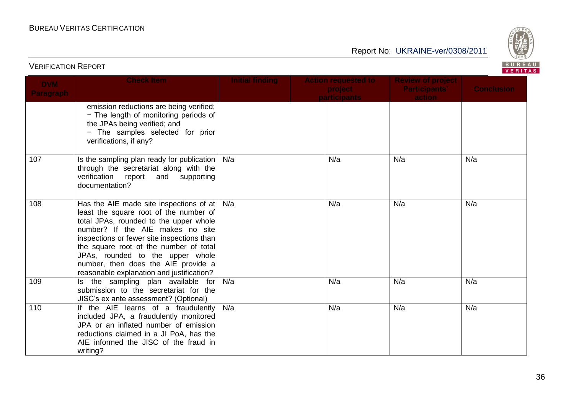

| <b>DVM</b>       | <b>Check Item</b>                                                                                                                                                                                                                                                                                                                                                                         | <b>Initial finding</b> | <b>Action requested to</b><br>project | <b>Review of project</b><br><b>Participants'</b> | <b>Conclusion</b> |
|------------------|-------------------------------------------------------------------------------------------------------------------------------------------------------------------------------------------------------------------------------------------------------------------------------------------------------------------------------------------------------------------------------------------|------------------------|---------------------------------------|--------------------------------------------------|-------------------|
| <b>Paragraph</b> |                                                                                                                                                                                                                                                                                                                                                                                           |                        | <b>participants</b>                   | action                                           |                   |
|                  | emission reductions are being verified;<br>- The length of monitoring periods of<br>the JPAs being verified; and<br>- The samples selected for prior<br>verifications, if any?                                                                                                                                                                                                            |                        |                                       |                                                  |                   |
| 107              | Is the sampling plan ready for publication $\vert$ N/a<br>through the secretariat along with the<br>verification report<br>and supporting<br>documentation?                                                                                                                                                                                                                               |                        | N/a                                   | N/a                                              | N/a               |
| 108              | Has the AIE made site inspections of at $  N/a  $<br>least the square root of the number of<br>total JPAs, rounded to the upper whole<br>number? If the AIE makes no site<br>inspections or fewer site inspections than<br>the square root of the number of total<br>JPAs, rounded to the upper whole<br>number, then does the AIE provide a<br>reasonable explanation and justification? |                        | N/a                                   | N/a                                              | N/a               |
| 109              | Is the sampling plan available for<br>submission to the secretariat for the<br>JISC's ex ante assessment? (Optional)                                                                                                                                                                                                                                                                      | N/a                    | N/a                                   | N/a                                              | N/a               |
| 110              | If the AIE learns of a fraudulently<br>included JPA, a fraudulently monitored<br>JPA or an inflated number of emission<br>reductions claimed in a JI PoA, has the<br>AIE informed the JISC of the fraud in<br>writing?                                                                                                                                                                    | N/a                    | N/a                                   | N/a                                              | N/a               |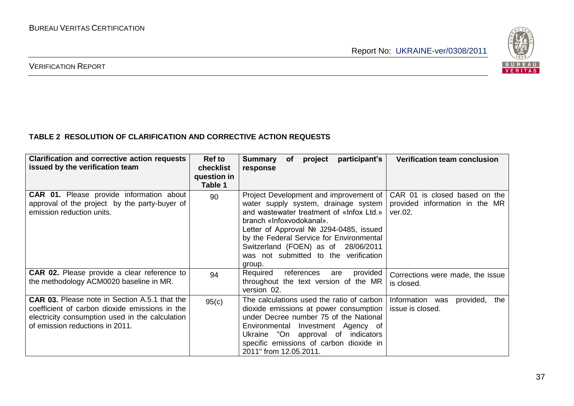

#### **TABLE 2 RESOLUTION OF CLARIFICATION AND CORRECTIVE ACTION REQUESTS**

| <b>Clarification and corrective action requests</b><br>issued by the verification team                                                                                                       | <b>Ref to</b><br>checklist<br>question in<br>Table 1 | participant's<br>project<br>Summary<br>of<br>response                                                                                                                                                                                                                                                                                     | <b>Verification team conclusion</b>                                        |
|----------------------------------------------------------------------------------------------------------------------------------------------------------------------------------------------|------------------------------------------------------|-------------------------------------------------------------------------------------------------------------------------------------------------------------------------------------------------------------------------------------------------------------------------------------------------------------------------------------------|----------------------------------------------------------------------------|
| <b>CAR 01.</b> Please provide information about<br>approval of the project by the party-buyer of<br>emission reduction units.                                                                | 90                                                   | Project Development and improvement of<br>water supply system, drainage system<br>and wastewater treatment of «Infox Ltd.»  <br>branch «Infoxvodokanal».<br>Letter of Approval Nº J294-0485, issued<br>by the Federal Service for Environmental<br>Switzerland (FOEN) as of 28/06/2011<br>was not submitted to the verification<br>group. | CAR 01 is closed based on the<br>provided information in the MR<br>ver.02. |
| <b>CAR 02.</b> Please provide a clear reference to<br>the methodology ACM0020 baseline in MR.                                                                                                | 94                                                   | Required<br>references<br>provided<br>are<br>throughout the text version of the MR<br>version 02.                                                                                                                                                                                                                                         | Corrections were made, the issue<br>is closed.                             |
| <b>CAR 03.</b> Please note in Section A.5.1 that the<br>coefficient of carbon dioxide emissions in the<br>electricity consumption used in the calculation<br>of emission reductions in 2011. | 95(c)                                                | The calculations used the ratio of carbon<br>dioxide emissions at power consumption<br>under Decree number 75 of the National<br>Environmental Investment Agency of<br>Ukraine "On approval of indicators<br>specific emissions of carbon dioxide in<br>2011" from 12.05.2011.                                                            | Information was<br>provided,<br>the<br>issue is closed.                    |